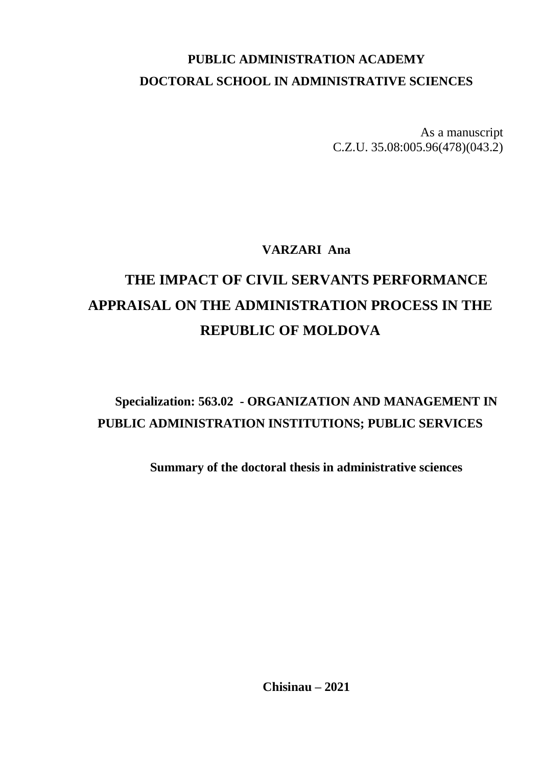# **PUBLIC ADMINISTRATION ACADEMY DOCTORAL SCHOOL IN ADMINISTRATIVE SCIENCES**

As a manuscript C.Z.U. 35.08:005.96(478)(043.2)

**VARZARI Ana**

# **THE IMPACT OF CIVIL SERVANTS PERFORMANCE APPRAISAL ON THE ADMINISTRATION PROCESS IN THE REPUBLIC OF MOLDOVA**

# **Specialization: 563.02 - ORGANIZATION AND MANAGEMENT IN PUBLIC ADMINISTRATION INSTITUTIONS; PUBLIC SERVICES**

**Summary of the doctoral thesis in administrative sciences**

**Chisinau – 2021**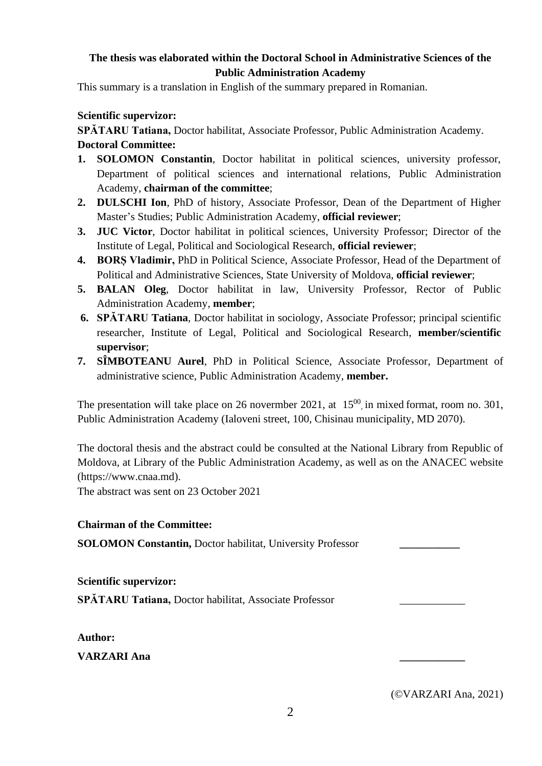## **The thesis was elaborated within the Doctoral School in Administrative Sciences of the Public Administration Academy**

This summary is a translation in English of the summary prepared in Romanian.

## **Scientific supervizor:**

**SPĂTARU Tatiana,** Doctor habilitat, Associate Professor, Public Administration Academy. **Doctoral Committee:** 

- **1. SOLOMON Constantin**, Doctor habilitat in political sciences, university professor, Department of political sciences and international relations, Public Administration Academy, **chairman of the committee**;
- **2. DULSCHI Ion**, PhD of history, Associate Professor, Dean of the Department of Higher Master's Studies; Public Administration Academy, **official reviewer**;
- **3. JUC Victor**, Doctor habilitat in political sciences, University Professor; Director of the Institute of Legal, Political and Sociological Research, **official reviewer**;
- **4. BORȘ Vladimir,** PhD in Political Science, Associate Professor, Head of the Department of Political and Administrative Sciences, State University of Moldova, **official reviewer**;
- **5. BALAN Oleg**, Doctor habilitat in law, University Professor, Rector of Public Administration Academy, **member**;
- **6. SPĂTARU Tatiana**, Doctor habilitat in sociology, Associate Professor; principal scientific researcher, Institute of Legal, Political and Sociological Research, **member/scientific supervisor**;
- **7. SÎMBOTEANU Aurel**, PhD in Political Science, Associate Professor, Department of administrative science, Public Administration Academy, **member.**

The presentation will take place on 26 novermber 2021, at  $15^{00}$ , in mixed format, room no. 301, Public Administration Academy (Ialoveni street, 100, Chisinau municipality, MD 2070).

The doctoral thesis and the abstract could be consulted at the National Library from Republic of Moldova, at Library of the Public Administration Academy, as well as on the ANACEC website (https://www.cnaa.md).

The abstract was sent on 23 October 2021

### **Chairman of the Committee:**

**SOLOMON Constantin,** Doctor habilitat, University Professor **\_\_\_\_\_\_\_\_\_\_\_**

**Scientific supervizor:**

**SPĂTARU Tatiana,** Doctor habilitat, Associate Professor \_\_\_\_\_\_\_\_\_\_\_\_

**Author:**

**VARZARI Ana \_\_\_\_\_\_\_\_\_\_\_\_**

(©VARZARI Ana, 2021)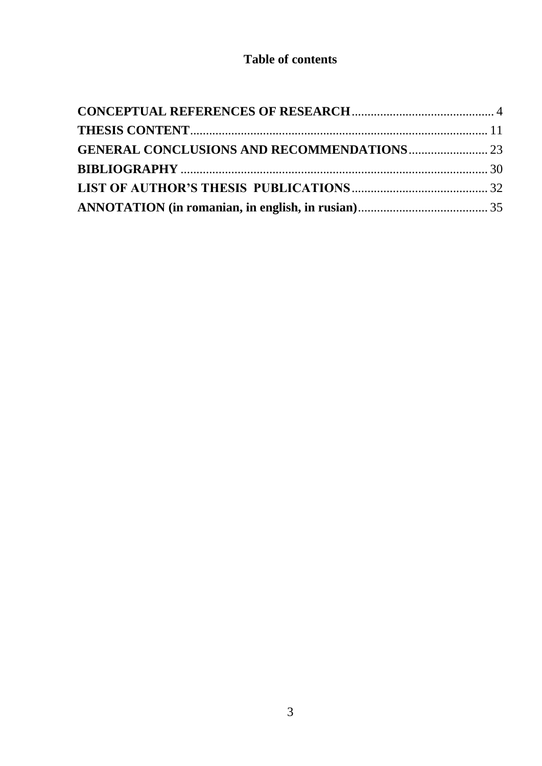# **Table of contents**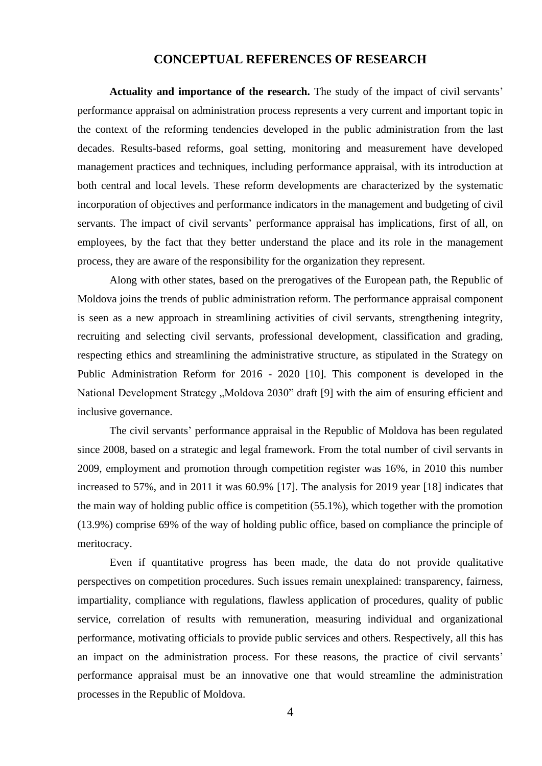#### **CONCEPTUAL REFERENCES OF RESEARCH**

<span id="page-3-0"></span>**Actuality and importance of the research.** The study of the impact of civil servants' performance appraisal on administration process represents a very current and important topic in the context of the reforming tendencies developed in the public administration from the last decades. Results-based reforms, goal setting, monitoring and measurement have developed management practices and techniques, including performance appraisal, with its introduction at both central and local levels. These reform developments are characterized by the systematic incorporation of objectives and performance indicators in the management and budgeting of civil servants. The impact of civil servants' performance appraisal has implications, first of all, on employees, by the fact that they better understand the place and its role in the management process, they are aware of the responsibility for the organization they represent.

Along with other states, based on the prerogatives of the European path, the Republic of Moldova joins the trends of public administration reform. The performance appraisal component is seen as a new approach in streamlining activities of civil servants, strengthening integrity, recruiting and selecting civil servants, professional development, classification and grading, respecting ethics and streamlining the administrative structure, as stipulated in the Strategy on Public Administration Reform for 2016 - 2020 [10]. This component is developed in the National Development Strategy "Moldova 2030" draft [9] with the aim of ensuring efficient and inclusive governance.

The civil servants' performance appraisal in the Republic of Moldova has been regulated since 2008, based on a strategic and legal framework. From the total number of civil servants in 2009, employment and promotion through competition register was 16%, in 2010 this number increased to 57%, and in 2011 it was 60.9% [17]. The analysis for 2019 year [18] indicates that the main way of holding public office is competition (55.1%), which together with the promotion (13.9%) comprise 69% of the way of holding public office, based on compliance the principle of meritocracy.

Even if quantitative progress has been made, the data do not provide qualitative perspectives on competition procedures. Such issues remain unexplained: transparency, fairness, impartiality, compliance with regulations, flawless application of procedures, quality of public service, correlation of results with remuneration, measuring individual and organizational performance, motivating officials to provide public services and others. Respectively, all this has an impact on the administration process. For these reasons, the practice of civil servants' performance appraisal must be an innovative one that would streamline the administration processes in the Republic of Moldova.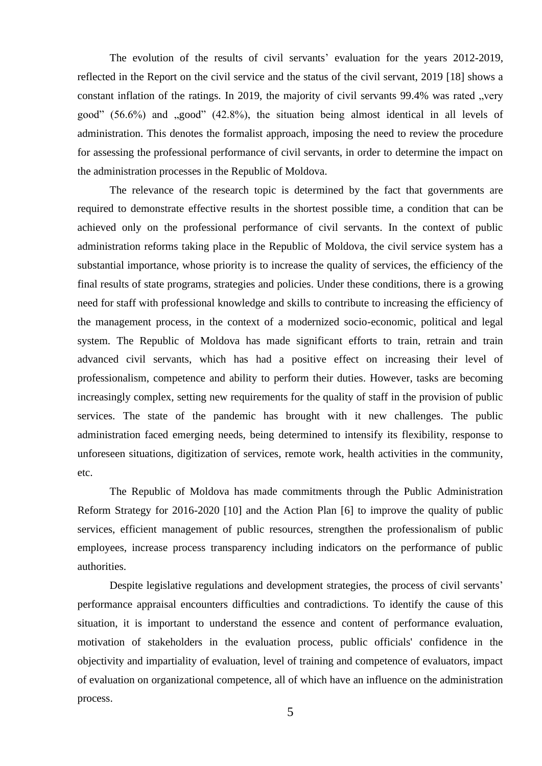The evolution of the results of civil servants' evaluation for the years 2012-2019, reflected in the Report on the civil service and the status of the civil servant, 2019 [18] shows a constant inflation of the ratings. In 2019, the majority of civil servants 99.4% was rated "very good"  $(56.6\%)$  and  $\mu$ good"  $(42.8\%)$ , the situation being almost identical in all levels of administration. This denotes the formalist approach, imposing the need to review the procedure for assessing the professional performance of civil servants, in order to determine the impact on the administration processes in the Republic of Moldova.

The relevance of the research topic is determined by the fact that governments are required to demonstrate effective results in the shortest possible time, a condition that can be achieved only on the professional performance of civil servants. In the context of public administration reforms taking place in the Republic of Moldova, the civil service system has a substantial importance, whose priority is to increase the quality of services, the efficiency of the final results of state programs, strategies and policies. Under these conditions, there is a growing need for staff with professional knowledge and skills to contribute to increasing the efficiency of the management process, in the context of a modernized socio-economic, political and legal system. The Republic of Moldova has made significant efforts to train, retrain and train advanced civil servants, which has had a positive effect on increasing their level of professionalism, competence and ability to perform their duties. However, tasks are becoming increasingly complex, setting new requirements for the quality of staff in the provision of public services. The state of the pandemic has brought with it new challenges. The public administration faced emerging needs, being determined to intensify its flexibility, response to unforeseen situations, digitization of services, remote work, health activities in the community, etc.

The Republic of Moldova has made commitments through the Public Administration Reform Strategy for 2016-2020 [10] and the Action Plan [6] to improve the quality of public services, efficient management of public resources, strengthen the professionalism of public employees, increase process transparency including indicators on the performance of public authorities.

Despite legislative regulations and development strategies, the process of civil servants' performance appraisal encounters difficulties and contradictions. To identify the cause of this situation, it is important to understand the essence and content of performance evaluation, motivation of stakeholders in the evaluation process, public officials' confidence in the objectivity and impartiality of evaluation, level of training and competence of evaluators, impact of evaluation on organizational competence, all of which have an influence on the administration process.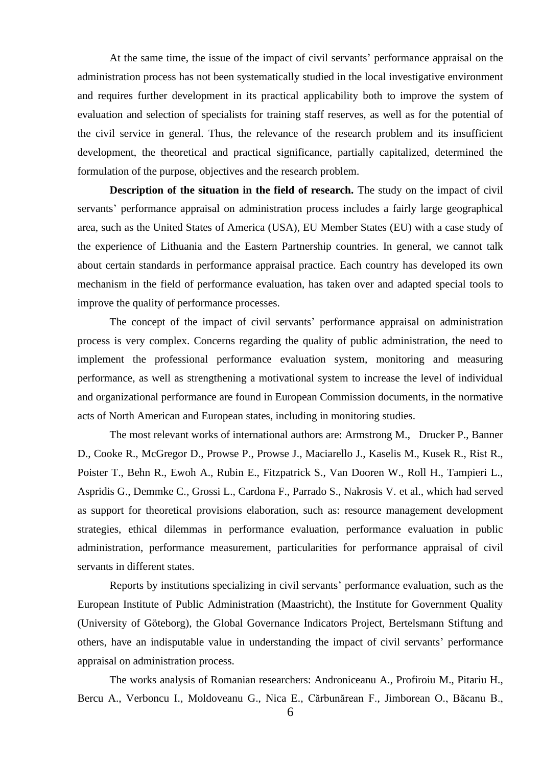At the same time, the issue of the impact of civil servants' performance appraisal on the administration process has not been systematically studied in the local investigative environment and requires further development in its practical applicability both to improve the system of evaluation and selection of specialists for training staff reserves, as well as for the potential of the civil service in general. Thus, the relevance of the research problem and its insufficient development, the theoretical and practical significance, partially capitalized, determined the formulation of the purpose, objectives and the research problem.

**Description of the situation in the field of research.** The study on the impact of civil servants' performance appraisal on administration process includes a fairly large geographical area, such as the United States of America (USA), EU Member States (EU) with a case study of the experience of Lithuania and the Eastern Partnership countries. In general, we cannot talk about certain standards in performance appraisal practice. Each country has developed its own mechanism in the field of performance evaluation, has taken over and adapted special tools to improve the quality of performance processes.

The concept of the impact of civil servants' performance appraisal on administration process is very complex. Concerns regarding the quality of public administration, the need to implement the professional performance evaluation system, monitoring and measuring performance, as well as strengthening a motivational system to increase the level of individual and organizational performance are found in European Commission documents, in the normative acts of North American and European states, including in monitoring studies.

The most relevant works of international authors are: Armstrong M., Drucker P., Banner D., Cooke R., McGregor D., Prowse P., Prowse J., Maciarello J., Kaselis M., Kusek R., Rist R., Poister T., Behn R., Ewoh A., Rubin E., Fitzpatrick S., Van Dooren W., Roll H., Tampieri L., Aspridis G., Demmke C., Grossi L., Cardona F., Parrado S., Nakrosis V. et al., which had served as support for theoretical provisions elaboration, such as: resource management development strategies, ethical dilemmas in performance evaluation, performance evaluation in public administration, performance measurement, particularities for performance appraisal of civil servants in different states.

Reports by institutions specializing in civil servants' performance evaluation, such as the European Institute of Public Administration (Maastricht), the Institute for Government Quality (University of Gӧteborg), the Global Governance Indicators Project, Bertelsmann Stiftung and others, have an indisputable value in understanding the impact of civil servants' performance appraisal on administration process.

The works analysis of Romanian researchers: Androniceanu A., Profiroiu M., Pitariu H., Bercu A., Verboncu I., Moldoveanu G., Nica E., Cărbunărean F., Jimborean O., Băcanu B.,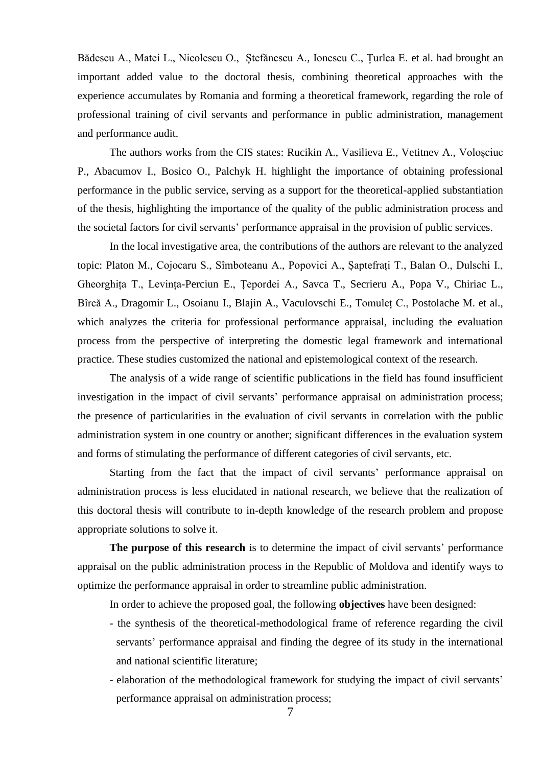Bădescu A., Matei L., Nicolescu O., Ștefănescu A., Ionescu C., Țurlea E. et al. had brought an important added value to the doctoral thesis, combining theoretical approaches with the experience accumulates by Romania and forming a theoretical framework, regarding the role of professional training of civil servants and performance in public administration, management and performance audit.

The authors works from the CIS states: Rucikin A., Vasilieva E., Vetitnev A., Voloșciuc P., Abacumov I., Bosico O., Palchyk H. highlight the importance of obtaining professional performance in the public service, serving as a support for the theoretical-applied substantiation of the thesis, highlighting the importance of the quality of the public administration process and the societal factors for civil servants' performance appraisal in the provision of public services.

In the local investigative area, the contributions of the authors are relevant to the analyzed topic: Platon M., Cojocaru S., Sîmboteanu A., Popovici A., Șaptefrați T., Balan O., Dulschi I., Gheorghița T., Levința-Perciun E., Țepordei A., Savca T., Secrieru A., Popa V., Chiriac L., Bîrcă A., Dragomir L., Osoianu I., Blajin A., Vaculovschi E., Tomuleț C., Postolache M. et al., which analyzes the criteria for professional performance appraisal, including the evaluation process from the perspective of interpreting the domestic legal framework and international practice. These studies customized the national and epistemological context of the research.

The analysis of a wide range of scientific publications in the field has found insufficient investigation in the impact of civil servants' performance appraisal on administration process; the presence of particularities in the evaluation of civil servants in correlation with the public administration system in one country or another; significant differences in the evaluation system and forms of stimulating the performance of different categories of civil servants, etc.

Starting from the fact that the impact of civil servants' performance appraisal on administration process is less elucidated in national research, we believe that the realization of this doctoral thesis will contribute to in-depth knowledge of the research problem and propose appropriate solutions to solve it.

**The purpose of this research** is to determine the impact of civil servants' performance appraisal on the public administration process in the Republic of Moldova and identify ways to optimize the performance appraisal in order to streamline public administration.

In order to achieve the proposed goal, the following **objectives** have been designed:

- the synthesis of the theoretical-methodological frame of reference regarding the civil servants' performance appraisal and finding the degree of its study in the international and national scientific literature;
- elaboration of the methodological framework for studying the impact of civil servants' performance appraisal on administration process;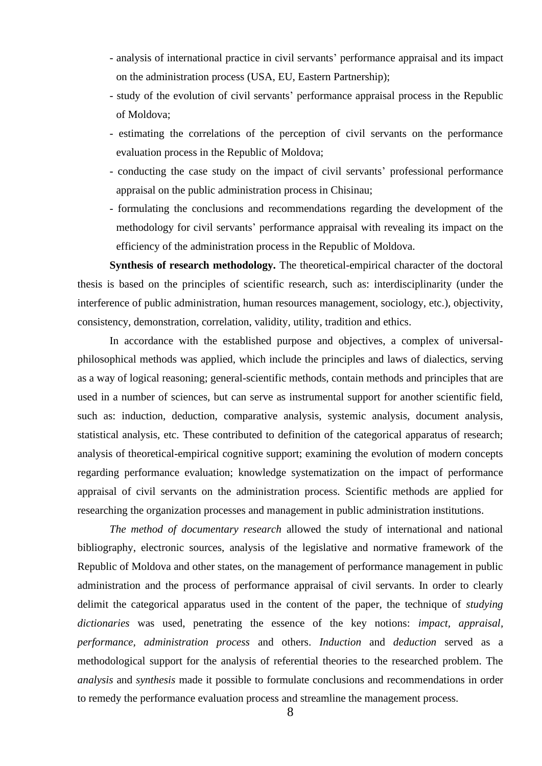- analysis of international practice in civil servants' performance appraisal and its impact on the administration process (USA, EU, Eastern Partnership);
- study of the evolution of civil servants' performance appraisal process in the Republic of Moldova;
- estimating the correlations of the perception of civil servants on the performance evaluation process in the Republic of Moldova;
- conducting the case study on the impact of civil servants' professional performance appraisal on the public administration process in Chisinau;
- formulating the conclusions and recommendations regarding the development of the methodology for civil servants' performance appraisal with revealing its impact on the efficiency of the administration process in the Republic of Moldova.

**Synthesis of research methodology.** The theoretical-empirical character of the doctoral thesis is based on the principles of scientific research, such as: interdisciplinarity (under the interference of public administration, human resources management, sociology, etc.), objectivity, consistency, demonstration, correlation, validity, utility, tradition and ethics.

In accordance with the established purpose and objectives, a complex of universalphilosophical methods was applied, which include the principles and laws of dialectics, serving as a way of logical reasoning; general-scientific methods, contain methods and principles that are used in a number of sciences, but can serve as instrumental support for another scientific field, such as: induction, deduction, comparative analysis, systemic analysis, document analysis, statistical analysis, etc. These contributed to definition of the categorical apparatus of research; analysis of theoretical-empirical cognitive support; examining the evolution of modern concepts regarding performance evaluation; knowledge systematization on the impact of performance appraisal of civil servants on the administration process. Scientific methods are applied for researching the organization processes and management in public administration institutions.

*The method of documentary research* allowed the study of international and national bibliography, electronic sources, analysis of the legislative and normative framework of the Republic of Moldova and other states, on the management of performance management in public administration and the process of performance appraisal of civil servants. In order to clearly delimit the categorical apparatus used in the content of the paper, the technique of *studying dictionaries* was used, penetrating the essence of the key notions: *impact, appraisal, performance, administration process* and others. *Induction* and *deduction* served as a methodological support for the analysis of referential theories to the researched problem. The *analysis* and *synthesis* made it possible to formulate conclusions and recommendations in order to remedy the performance evaluation process and streamline the management process.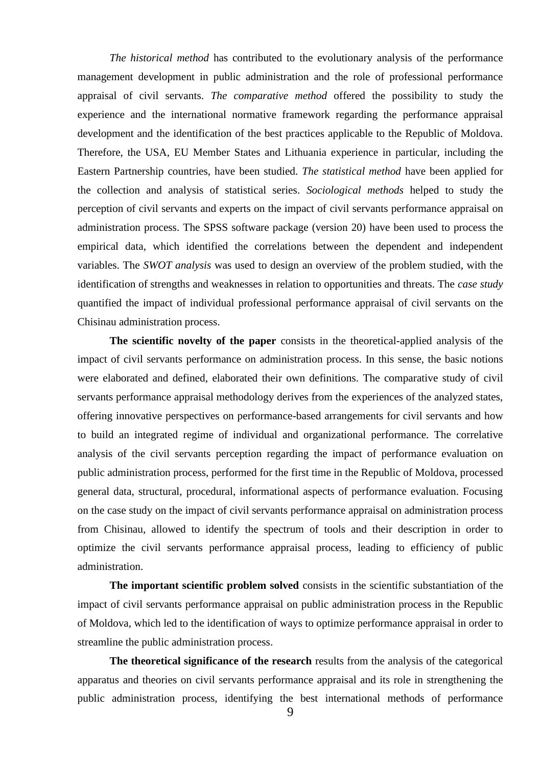*The historical method* has contributed to the evolutionary analysis of the performance management development in public administration and the role of professional performance appraisal of civil servants. *The comparative method* offered the possibility to study the experience and the international normative framework regarding the performance appraisal development and the identification of the best practices applicable to the Republic of Moldova. Therefore, the USA, EU Member States and Lithuania experience in particular, including the Eastern Partnership countries, have been studied. *The statistical method* have been applied for the collection and analysis of statistical series. *Sociological methods* helped to study the perception of civil servants and experts on the impact of civil servants performance appraisal on administration process. The SPSS software package (version 20) have been used to process the empirical data, which identified the correlations between the dependent and independent variables. The *SWOT analysis* was used to design an overview of the problem studied, with the identification of strengths and weaknesses in relation to opportunities and threats. The *case study* quantified the impact of individual professional performance appraisal of civil servants on the Chisinau administration process.

**The scientific novelty of the paper** consists in the theoretical-applied analysis of the impact of civil servants performance on administration process. In this sense, the basic notions were elaborated and defined, elaborated their own definitions. The comparative study of civil servants performance appraisal methodology derives from the experiences of the analyzed states, offering innovative perspectives on performance-based arrangements for civil servants and how to build an integrated regime of individual and organizational performance. The correlative analysis of the civil servants perception regarding the impact of performance evaluation on public administration process, performed for the first time in the Republic of Moldova, processed general data, structural, procedural, informational aspects of performance evaluation. Focusing on the case study on the impact of civil servants performance appraisal on administration process from Chisinau, allowed to identify the spectrum of tools and their description in order to optimize the civil servants performance appraisal process, leading to efficiency of public administration.

**The important scientific problem solved** consists in the scientific substantiation of the impact of civil servants performance appraisal on public administration process in the Republic of Moldova, which led to the identification of ways to optimize performance appraisal in order to streamline the public administration process.

**The theoretical significance of the research** results from the analysis of the categorical apparatus and theories on civil servants performance appraisal and its role in strengthening the public administration process, identifying the best international methods of performance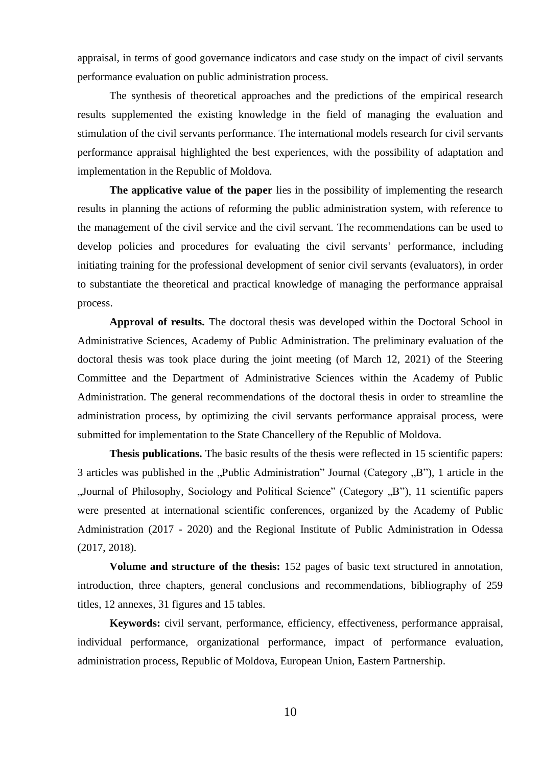appraisal, in terms of good governance indicators and case study on the impact of civil servants performance evaluation on public administration process.

The synthesis of theoretical approaches and the predictions of the empirical research results supplemented the existing knowledge in the field of managing the evaluation and stimulation of the civil servants performance. The international models research for civil servants performance appraisal highlighted the best experiences, with the possibility of adaptation and implementation in the Republic of Moldova.

**The applicative value of the paper** lies in the possibility of implementing the research results in planning the actions of reforming the public administration system, with reference to the management of the civil service and the civil servant. The recommendations can be used to develop policies and procedures for evaluating the civil servants' performance, including initiating training for the professional development of senior civil servants (evaluators), in order to substantiate the theoretical and practical knowledge of managing the performance appraisal process.

**Approval of results.** The doctoral thesis was developed within the Doctoral School in Administrative Sciences, Academy of Public Administration. The preliminary evaluation of the doctoral thesis was took place during the joint meeting (of March 12, 2021) of the Steering Committee and the Department of Administrative Sciences within the Academy of Public Administration. The general recommendations of the doctoral thesis in order to streamline the administration process, by optimizing the civil servants performance appraisal process, were submitted for implementation to the State Chancellery of the Republic of Moldova.

**Thesis publications.** The basic results of the thesis were reflected in 15 scientific papers: 3 articles was published in the "Public Administration" Journal (Category  $,B$ "), 1 article in the "Journal of Philosophy, Sociology and Political Science" (Category , B"), 11 scientific papers were presented at international scientific conferences, organized by the Academy of Public Administration (2017 - 2020) and the Regional Institute of Public Administration in Odessa (2017, 2018).

**Volume and structure of the thesis:** 152 pages of basic text structured in annotation, introduction, three chapters, general conclusions and recommendations, bibliography of 259 titles, 12 annexes, 31 figures and 15 tables.

**Keywords:** civil servant, performance, efficiency, effectiveness, performance appraisal, individual performance, organizational performance, impact of performance evaluation, administration process, Republic of Moldova, European Union, Eastern Partnership.

10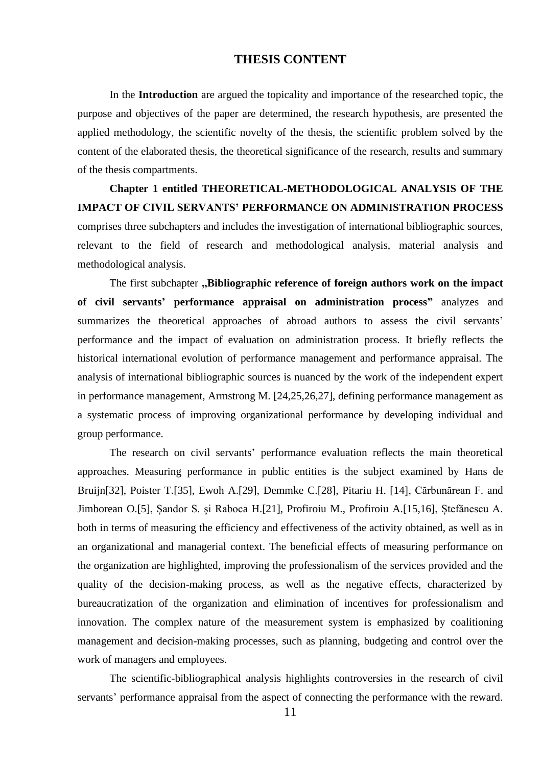#### **THESIS CONTENT**

<span id="page-10-0"></span>In the **Introduction** are argued the topicality and importance of the researched topic, the purpose and objectives of the paper are determined, the research hypothesis, are presented the applied methodology, the scientific novelty of the thesis, the scientific problem solved by the content of the elaborated thesis, the theoretical significance of the research, results and summary of the thesis compartments.

**Chapter 1 entitled THEORETICAL-METHODOLOGICAL ANALYSIS OF THE IMPACT OF CIVIL SERVANTS' PERFORMANCE ON ADMINISTRATION PROCESS** comprises three subchapters and includes the investigation of international bibliographic sources, relevant to the field of research and methodological analysis, material analysis and methodological analysis.

The first subchapter **"Bibliographic reference of foreign authors work on the impact of civil servants' performance appraisal on administration process"** analyzes and summarizes the theoretical approaches of abroad authors to assess the civil servants' performance and the impact of evaluation on administration process. It briefly reflects the historical international evolution of performance management and performance appraisal. The analysis of international bibliographic sources is nuanced by the work of the independent expert in performance management, Armstrong M. [24,25,26,27], defining performance management as a systematic process of improving organizational performance by developing individual and group performance.

The research on civil servants' performance evaluation reflects the main theoretical approaches. Measuring performance in public entities is the subject examined by Hans de Bruijn[32], Poister T.[35], Ewoh A.[29], Demmke C.[28], Pitariu H. [14], Cărbunărean F. and Jimborean O.[5], Șandor S. și Raboca H.[21], Profiroiu M., Profiroiu A.[15,16], Ștefănescu A. both in terms of measuring the efficiency and effectiveness of the activity obtained, as well as in an organizational and managerial context. The beneficial effects of measuring performance on the organization are highlighted, improving the professionalism of the services provided and the quality of the decision-making process, as well as the negative effects, characterized by bureaucratization of the organization and elimination of incentives for professionalism and innovation. The complex nature of the measurement system is emphasized by coalitioning management and decision-making processes, such as planning, budgeting and control over the work of managers and employees.

The scientific-bibliographical analysis highlights controversies in the research of civil servants' performance appraisal from the aspect of connecting the performance with the reward.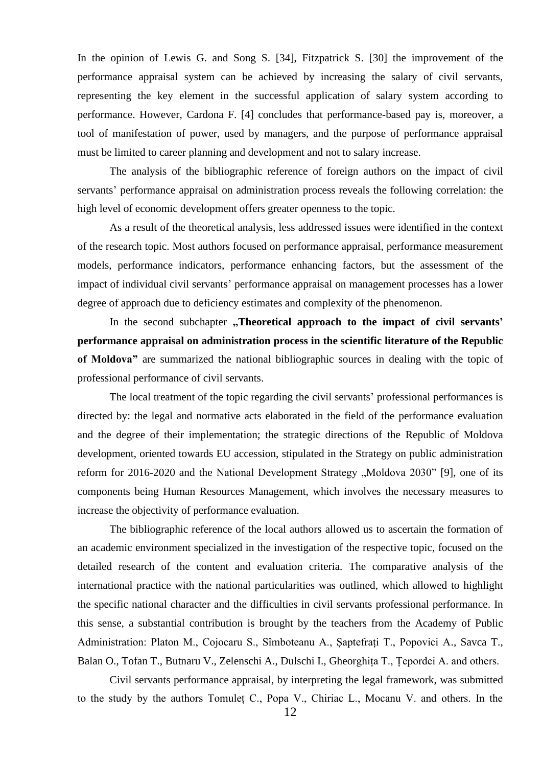In the opinion of Lewis G. and Song S. [34], Fitzpatrick S. [30] the improvement of the performance appraisal system can be achieved by increasing the salary of civil servants, representing the key element in the successful application of salary system according to performance. However, Cardona F. [4] concludes that performance-based pay is, moreover, a tool of manifestation of power, used by managers, and the purpose of performance appraisal must be limited to career planning and development and not to salary increase.

The analysis of the bibliographic reference of foreign authors on the impact of civil servants' performance appraisal on administration process reveals the following correlation: the high level of economic development offers greater openness to the topic.

As a result of the theoretical analysis, less addressed issues were identified in the context of the research topic. Most authors focused on performance appraisal, performance measurement models, performance indicators, performance enhancing factors, but the assessment of the impact of individual civil servants' performance appraisal on management processes has a lower degree of approach due to deficiency estimates and complexity of the phenomenon.

In the second subchapter **"Theoretical approach to the impact of civil servants**" **performance appraisal on administration process in the scientific literature of the Republic of Moldova"** are summarized the national bibliographic sources in dealing with the topic of professional performance of civil servants.

The local treatment of the topic regarding the civil servants' professional performances is directed by: the legal and normative acts elaborated in the field of the performance evaluation and the degree of their implementation; the strategic directions of the Republic of Moldova development, oriented towards EU accession, stipulated in the Strategy on public administration reform for 2016-2020 and the National Development Strategy "Moldova 2030" [9], one of its components being Human Resources Management, which involves the necessary measures to increase the objectivity of performance evaluation.

The bibliographic reference of the local authors allowed us to ascertain the formation of an academic environment specialized in the investigation of the respective topic, focused on the detailed research of the content and evaluation criteria. The comparative analysis of the international practice with the national particularities was outlined, which allowed to highlight the specific national character and the difficulties in civil servants professional performance. In this sense, a substantial contribution is brought by the teachers from the Academy of Public Administration: Platon M., Cojocaru S., Sîmboteanu A., Șaptefrați T., Popovici A., Savca T., Balan O., Tofan T., Butnaru V., Zelenschi A., Dulschi I., Gheorghița T., Țepordei A. and others.

Civil servants performance appraisal, by interpreting the legal framework, was submitted to the study by the authors Tomuleț C., Popa V., Chiriac L., Mocanu V. and others. In the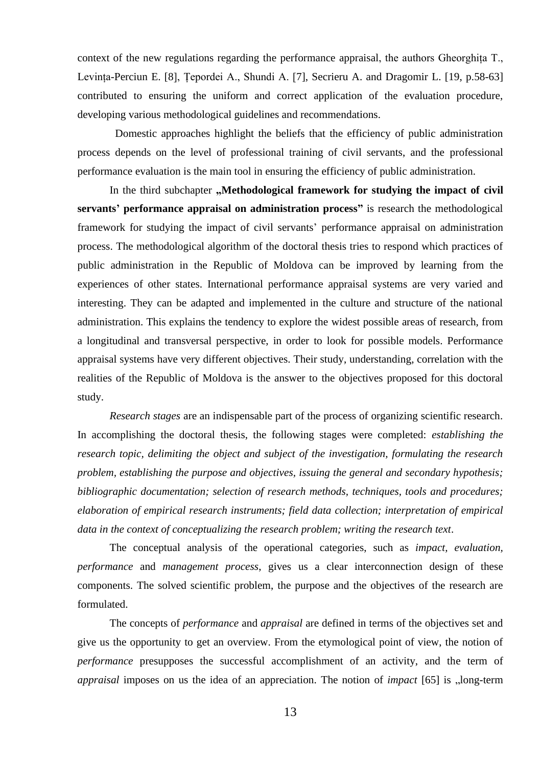context of the new regulations regarding the performance appraisal, the authors Gheorghița T., Levința-Perciun E. [8], Țepordei A., Shundi A. [7], Secrieru A. and Dragomir L. [19, p.58-63] contributed to ensuring the uniform and correct application of the evaluation procedure, developing various methodological guidelines and recommendations.

 Domestic approaches highlight the beliefs that the efficiency of public administration process depends on the level of professional training of civil servants, and the professional performance evaluation is the main tool in ensuring the efficiency of public administration.

In the third subchapter "Methodological framework for studying the impact of civil **servants' performance appraisal on administration process"** is research the methodological framework for studying the impact of civil servants' performance appraisal on administration process. The methodological algorithm of the doctoral thesis tries to respond which practices of public administration in the Republic of Moldova can be improved by learning from the experiences of other states. International performance appraisal systems are very varied and interesting. They can be adapted and implemented in the culture and structure of the national administration. This explains the tendency to explore the widest possible areas of research, from a longitudinal and transversal perspective, in order to look for possible models. Performance appraisal systems have very different objectives. Their study, understanding, correlation with the realities of the Republic of Moldova is the answer to the objectives proposed for this doctoral study.

*Research stages* are an indispensable part of the process of organizing scientific research. In accomplishing the doctoral thesis, the following stages were completed: *establishing the research topic, delimiting the object and subject of the investigation, formulating the research problem, establishing the purpose and objectives, issuing the general and secondary hypothesis; bibliographic documentation; selection of research methods, techniques, tools and procedures; elaboration of empirical research instruments; field data collection; interpretation of empirical data in the context of conceptualizing the research problem; writing the research text*.

The conceptual analysis of the operational categories, such as *impact, evaluation, performance* and *management process*, gives us a clear interconnection design of these components. The solved scientific problem, the purpose and the objectives of the research are formulated.

The concepts of *performance* and *appraisal* are defined in terms of the objectives set and give us the opportunity to get an overview. From the etymological point of view, the notion of *performance* presupposes the successful accomplishment of an activity, and the term of *appraisal* imposes on us the idea of an appreciation. The notion of *impact* [65] is "long-term

13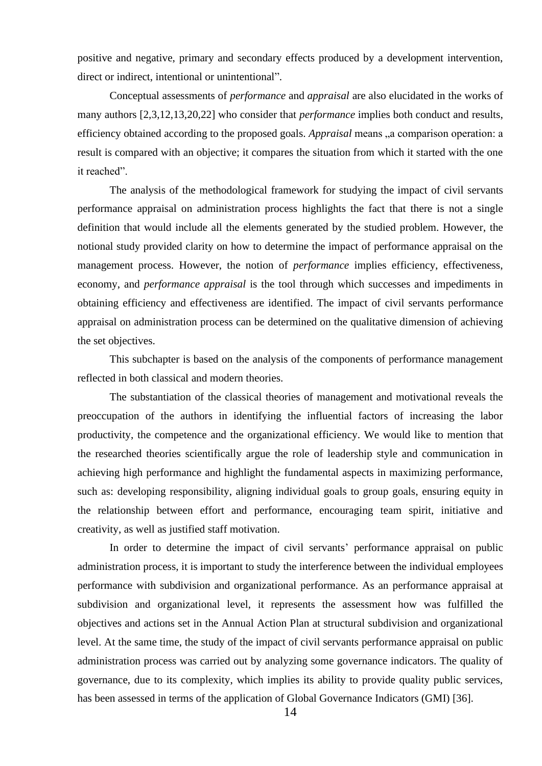positive and negative, primary and secondary effects produced by a development intervention, direct or indirect, intentional or unintentional".

Conceptual assessments of *performance* and *appraisal* are also elucidated in the works of many authors [2,3,12,13,20,22] who consider that *performance* implies both conduct and results, efficiency obtained according to the proposed goals. *Appraisal* means ,,a comparison operation: a result is compared with an objective; it compares the situation from which it started with the one it reached".

The analysis of the methodological framework for studying the impact of civil servants performance appraisal on administration process highlights the fact that there is not a single definition that would include all the elements generated by the studied problem. However, the notional study provided clarity on how to determine the impact of performance appraisal on the management process. However, the notion of *performance* implies efficiency, effectiveness, economy, and *performance appraisal* is the tool through which successes and impediments in obtaining efficiency and effectiveness are identified. The impact of civil servants performance appraisal on administration process can be determined on the qualitative dimension of achieving the set objectives.

This subchapter is based on the analysis of the components of performance management reflected in both classical and modern theories.

The substantiation of the classical theories of management and motivational reveals the preoccupation of the authors in identifying the influential factors of increasing the labor productivity, the competence and the organizational efficiency. We would like to mention that the researched theories scientifically argue the role of leadership style and communication in achieving high performance and highlight the fundamental aspects in maximizing performance, such as: developing responsibility, aligning individual goals to group goals, ensuring equity in the relationship between effort and performance, encouraging team spirit, initiative and creativity, as well as justified staff motivation.

In order to determine the impact of civil servants' performance appraisal on public administration process, it is important to study the interference between the individual employees performance with subdivision and organizational performance. As an performance appraisal at subdivision and organizational level, it represents the assessment how was fulfilled the objectives and actions set in the Annual Action Plan at structural subdivision and organizational level. At the same time, the study of the impact of civil servants performance appraisal on public administration process was carried out by analyzing some governance indicators. The quality of governance, due to its complexity, which implies its ability to provide quality public services, has been assessed in terms of the application of Global Governance Indicators (GMI) [36].

14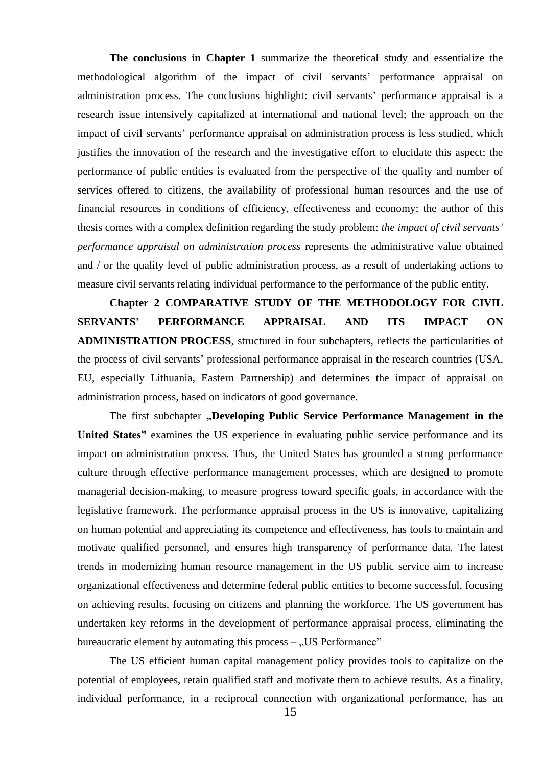**The conclusions in Chapter 1** summarize the theoretical study and essentialize the methodological algorithm of the impact of civil servants' performance appraisal on administration process. The conclusions highlight: civil servants' performance appraisal is a research issue intensively capitalized at international and national level; the approach on the impact of civil servants' performance appraisal on administration process is less studied, which justifies the innovation of the research and the investigative effort to elucidate this aspect; the performance of public entities is evaluated from the perspective of the quality and number of services offered to citizens, the availability of professional human resources and the use of financial resources in conditions of efficiency, effectiveness and economy; the author of this thesis comes with a complex definition regarding the study problem: *the impact of civil servants' performance appraisal on administration process* represents the administrative value obtained and / or the quality level of public administration process, as a result of undertaking actions to measure civil servants relating individual performance to the performance of the public entity.

**Chapter 2 COMPARATIVE STUDY OF THE METHODOLOGY FOR CIVIL SERVANTS' PERFORMANCE APPRAISAL AND ITS IMPACT ON ADMINISTRATION PROCESS**, structured in four subchapters, reflects the particularities of the process of civil servants' professional performance appraisal in the research countries (USA, EU, especially Lithuania, Eastern Partnership) and determines the impact of appraisal on administration process, based on indicators of good governance.

The first subchapter **"Developing Public Service Performance Management in the United States"** examines the US experience in evaluating public service performance and its impact on administration process. Thus, the United States has grounded a strong performance culture through effective performance management processes, which are designed to promote managerial decision-making, to measure progress toward specific goals, in accordance with the legislative framework. The performance appraisal process in the US is innovative, capitalizing on human potential and appreciating its competence and effectiveness, has tools to maintain and motivate qualified personnel, and ensures high transparency of performance data. The latest trends in modernizing human resource management in the US public service aim to increase organizational effectiveness and determine federal public entities to become successful, focusing on achieving results, focusing on citizens and planning the workforce. The US government has undertaken key reforms in the development of performance appraisal process, eliminating the bureaucratic element by automating this process  $-$  . US Performance"

The US efficient human capital management policy provides tools to capitalize on the potential of employees, retain qualified staff and motivate them to achieve results. As a finality, individual performance, in a reciprocal connection with organizational performance, has an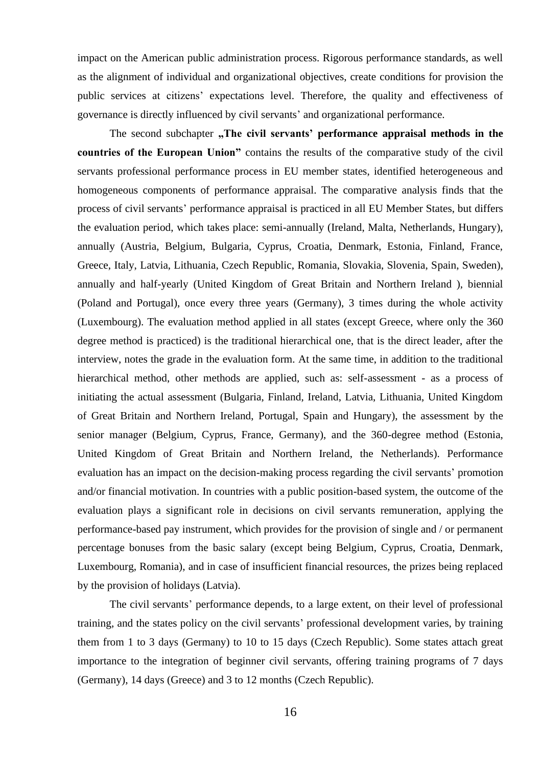impact on the American public administration process. Rigorous performance standards, as well as the alignment of individual and organizational objectives, create conditions for provision the public services at citizens' expectations level. Therefore, the quality and effectiveness of governance is directly influenced by civil servants' and organizational performance.

The second subchapter "The civil servants' performance appraisal methods in the **countries of the European Union"** contains the results of the comparative study of the civil servants professional performance process in EU member states, identified heterogeneous and homogeneous components of performance appraisal. The comparative analysis finds that the process of civil servants' performance appraisal is practiced in all EU Member States, but differs the evaluation period, which takes place: semi-annually (Ireland, Malta, Netherlands, Hungary), annually (Austria, Belgium, Bulgaria, Cyprus, Croatia, Denmark, Estonia, Finland, France, Greece, Italy, Latvia, Lithuania, Czech Republic, Romania, Slovakia, Slovenia, Spain, Sweden), annually and half-yearly (United Kingdom of Great Britain and Northern Ireland ), biennial (Poland and Portugal), once every three years (Germany), 3 times during the whole activity (Luxembourg). The evaluation method applied in all states (except Greece, where only the 360 degree method is practiced) is the traditional hierarchical one, that is the direct leader, after the interview, notes the grade in the evaluation form. At the same time, in addition to the traditional hierarchical method, other methods are applied, such as: self-assessment - as a process of initiating the actual assessment (Bulgaria, Finland, Ireland, Latvia, Lithuania, United Kingdom of Great Britain and Northern Ireland, Portugal, Spain and Hungary), the assessment by the senior manager (Belgium, Cyprus, France, Germany), and the 360-degree method (Estonia, United Kingdom of Great Britain and Northern Ireland, the Netherlands). Performance evaluation has an impact on the decision-making process regarding the civil servants' promotion and/or financial motivation. In countries with a public position-based system, the outcome of the evaluation plays a significant role in decisions on civil servants remuneration, applying the performance-based pay instrument, which provides for the provision of single and / or permanent percentage bonuses from the basic salary (except being Belgium, Cyprus, Croatia, Denmark, Luxembourg, Romania), and in case of insufficient financial resources, the prizes being replaced by the provision of holidays (Latvia).

The civil servants' performance depends, to a large extent, on their level of professional training, and the states policy on the civil servants' professional development varies, by training them from 1 to 3 days (Germany) to 10 to 15 days (Czech Republic). Some states attach great importance to the integration of beginner civil servants, offering training programs of 7 days (Germany), 14 days (Greece) and 3 to 12 months (Czech Republic).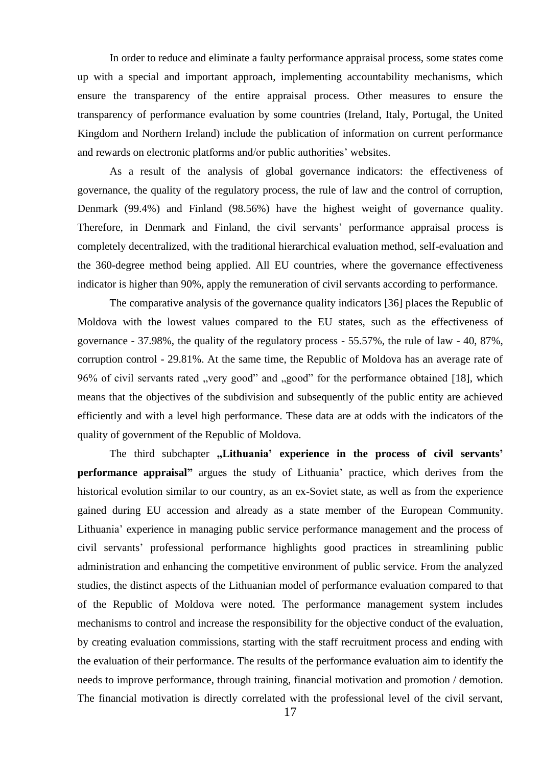In order to reduce and eliminate a faulty performance appraisal process, some states come up with a special and important approach, implementing accountability mechanisms, which ensure the transparency of the entire appraisal process. Other measures to ensure the transparency of performance evaluation by some countries (Ireland, Italy, Portugal, the United Kingdom and Northern Ireland) include the publication of information on current performance and rewards on electronic platforms and/or public authorities' websites.

As a result of the analysis of global governance indicators: the effectiveness of governance, the quality of the regulatory process, the rule of law and the control of corruption, Denmark (99.4%) and Finland (98.56%) have the highest weight of governance quality. Therefore, in Denmark and Finland, the civil servants' performance appraisal process is completely decentralized, with the traditional hierarchical evaluation method, self-evaluation and the 360-degree method being applied. All EU countries, where the governance effectiveness indicator is higher than 90%, apply the remuneration of civil servants according to performance.

The comparative analysis of the governance quality indicators [36] places the Republic of Moldova with the lowest values compared to the EU states, such as the effectiveness of governance - 37.98%, the quality of the regulatory process - 55.57%, the rule of law - 40, 87%, corruption control - 29.81%. At the same time, the Republic of Moldova has an average rate of 96% of civil servants rated "very good" and "good" for the performance obtained [18], which means that the objectives of the subdivision and subsequently of the public entity are achieved efficiently and with a level high performance. These data are at odds with the indicators of the quality of government of the Republic of Moldova.

The third subchapter "Lithuania' experience in the process of civil servants' **performance appraisal"** argues the study of Lithuania' practice, which derives from the historical evolution similar to our country, as an ex-Soviet state, as well as from the experience gained during EU accession and already as a state member of the European Community. Lithuania' experience in managing public service performance management and the process of civil servants' professional performance highlights good practices in streamlining public administration and enhancing the competitive environment of public service. From the analyzed studies, the distinct aspects of the Lithuanian model of performance evaluation compared to that of the Republic of Moldova were noted. The performance management system includes mechanisms to control and increase the responsibility for the objective conduct of the evaluation, by creating evaluation commissions, starting with the staff recruitment process and ending with the evaluation of their performance. The results of the performance evaluation aim to identify the needs to improve performance, through training, financial motivation and promotion / demotion. The financial motivation is directly correlated with the professional level of the civil servant,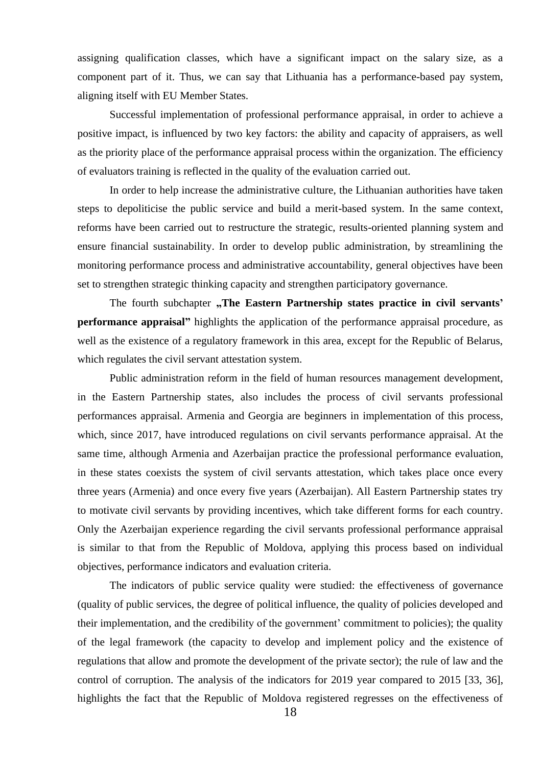assigning qualification classes, which have a significant impact on the salary size, as a component part of it. Thus, we can say that Lithuania has a performance-based pay system, aligning itself with EU Member States.

Successful implementation of professional performance appraisal, in order to achieve a positive impact, is influenced by two key factors: the ability and capacity of appraisers, as well as the priority place of the performance appraisal process within the organization. The efficiency of evaluators training is reflected in the quality of the evaluation carried out.

In order to help increase the administrative culture, the Lithuanian authorities have taken steps to depoliticise the public service and build a merit-based system. In the same context, reforms have been carried out to restructure the strategic, results-oriented planning system and ensure financial sustainability. In order to develop public administration, by streamlining the monitoring performance process and administrative accountability, general objectives have been set to strengthen strategic thinking capacity and strengthen participatory governance.

The fourth subchapter "The Eastern Partnership states practice in civil servants' **performance appraisal"** highlights the application of the performance appraisal procedure, as well as the existence of a regulatory framework in this area, except for the Republic of Belarus, which regulates the civil servant attestation system.

Public administration reform in the field of human resources management development, in the Eastern Partnership states, also includes the process of civil servants professional performances appraisal. Armenia and Georgia are beginners in implementation of this process, which, since 2017, have introduced regulations on civil servants performance appraisal. At the same time, although Armenia and Azerbaijan practice the professional performance evaluation, in these states coexists the system of civil servants attestation, which takes place once every three years (Armenia) and once every five years (Azerbaijan). All Eastern Partnership states try to motivate civil servants by providing incentives, which take different forms for each country. Only the Azerbaijan experience regarding the civil servants professional performance appraisal is similar to that from the Republic of Moldova, applying this process based on individual objectives, performance indicators and evaluation criteria.

The indicators of public service quality were studied: the effectiveness of governance (quality of public services, the degree of political influence, the quality of policies developed and their implementation, and the credibility of the government' commitment to policies); the quality of the legal framework (the capacity to develop and implement policy and the existence of regulations that allow and promote the development of the private sector); the rule of law and the control of corruption. The analysis of the indicators for 2019 year compared to 2015 [33, 36], highlights the fact that the Republic of Moldova registered regresses on the effectiveness of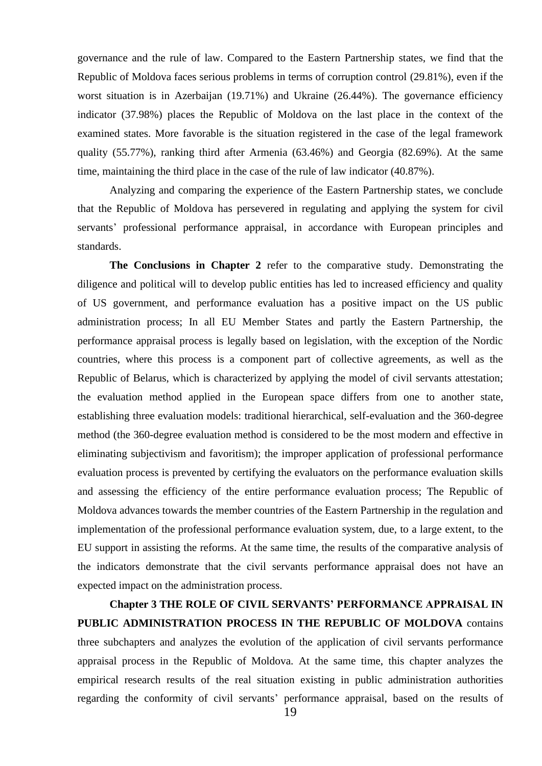governance and the rule of law. Compared to the Eastern Partnership states, we find that the Republic of Moldova faces serious problems in terms of corruption control (29.81%), even if the worst situation is in Azerbaijan (19.71%) and Ukraine (26.44%). The governance efficiency indicator (37.98%) places the Republic of Moldova on the last place in the context of the examined states. More favorable is the situation registered in the case of the legal framework quality (55.77%), ranking third after Armenia (63.46%) and Georgia (82.69%). At the same time, maintaining the third place in the case of the rule of law indicator (40.87%).

Analyzing and comparing the experience of the Eastern Partnership states, we conclude that the Republic of Moldova has persevered in regulating and applying the system for civil servants' professional performance appraisal, in accordance with European principles and standards.

**The Conclusions in Chapter 2** refer to the comparative study. Demonstrating the diligence and political will to develop public entities has led to increased efficiency and quality of US government, and performance evaluation has a positive impact on the US public administration process; In all EU Member States and partly the Eastern Partnership, the performance appraisal process is legally based on legislation, with the exception of the Nordic countries, where this process is a component part of collective agreements, as well as the Republic of Belarus, which is characterized by applying the model of civil servants attestation; the evaluation method applied in the European space differs from one to another state, establishing three evaluation models: traditional hierarchical, self-evaluation and the 360-degree method (the 360-degree evaluation method is considered to be the most modern and effective in eliminating subjectivism and favoritism); the improper application of professional performance evaluation process is prevented by certifying the evaluators on the performance evaluation skills and assessing the efficiency of the entire performance evaluation process; The Republic of Moldova advances towards the member countries of the Eastern Partnership in the regulation and implementation of the professional performance evaluation system, due, to a large extent, to the EU support in assisting the reforms. At the same time, the results of the comparative analysis of the indicators demonstrate that the civil servants performance appraisal does not have an expected impact on the administration process.

**Chapter 3 THE ROLE OF CIVIL SERVANTS' PERFORMANCE APPRAISAL IN PUBLIC ADMINISTRATION PROCESS IN THE REPUBLIC OF MOLDOVA** contains three subchapters and analyzes the evolution of the application of civil servants performance appraisal process in the Republic of Moldova. At the same time, this chapter analyzes the empirical research results of the real situation existing in public administration authorities regarding the conformity of civil servants' performance appraisal, based on the results of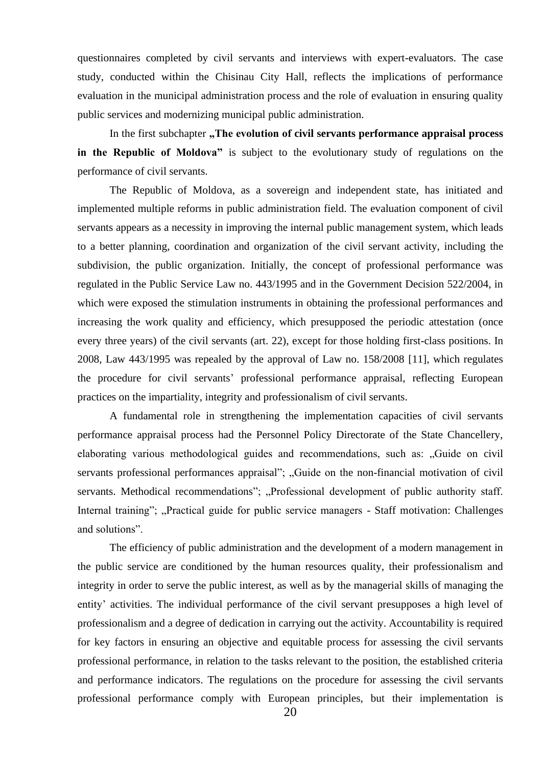questionnaires completed by civil servants and interviews with expert-evaluators. The case study, conducted within the Chisinau City Hall, reflects the implications of performance evaluation in the municipal administration process and the role of evaluation in ensuring quality public services and modernizing municipal public administration.

In the first subchapter "The evolution of civil servants performance appraisal process **in the Republic of Moldova"** is subject to the evolutionary study of regulations on the performance of civil servants.

The Republic of Moldova, as a sovereign and independent state, has initiated and implemented multiple reforms in public administration field. The evaluation component of civil servants appears as a necessity in improving the internal public management system, which leads to a better planning, coordination and organization of the civil servant activity, including the subdivision, the public organization. Initially, the concept of professional performance was regulated in the Public Service Law no. 443/1995 and in the Government Decision 522/2004, in which were exposed the stimulation instruments in obtaining the professional performances and increasing the work quality and efficiency, which presupposed the periodic attestation (once every three years) of the civil servants (art. 22), except for those holding first-class positions. In 2008, Law 443/1995 was repealed by the approval of Law no. 158/2008 [11], which regulates the procedure for civil servants' professional performance appraisal, reflecting European practices on the impartiality, integrity and professionalism of civil servants.

A fundamental role in strengthening the implementation capacities of civil servants performance appraisal process had the Personnel Policy Directorate of the State Chancellery, elaborating various methodological guides and recommendations, such as: "Guide on civil servants professional performances appraisal"; "Guide on the non-financial motivation of civil servants. Methodical recommendations"; "Professional development of public authority staff. Internal training"; "Practical guide for public service managers - Staff motivation: Challenges and solutions".

The efficiency of public administration and the development of a modern management in the public service are conditioned by the human resources quality, their professionalism and integrity in order to serve the public interest, as well as by the managerial skills of managing the entity' activities. The individual performance of the civil servant presupposes a high level of professionalism and a degree of dedication in carrying out the activity. Accountability is required for key factors in ensuring an objective and equitable process for assessing the civil servants professional performance, in relation to the tasks relevant to the position, the established criteria and performance indicators. The regulations on the procedure for assessing the civil servants professional performance comply with European principles, but their implementation is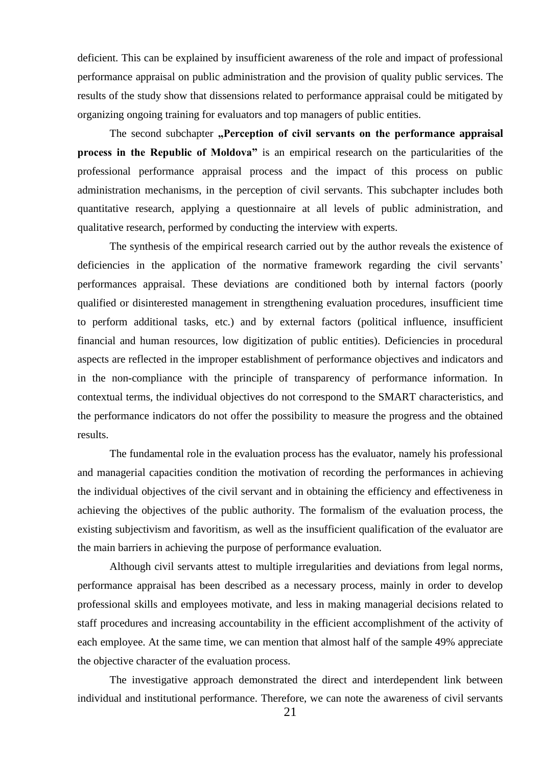deficient. This can be explained by insufficient awareness of the role and impact of professional performance appraisal on public administration and the provision of quality public services. The results of the study show that dissensions related to performance appraisal could be mitigated by organizing ongoing training for evaluators and top managers of public entities.

The second subchapter "Perception of civil servants on the performance appraisal **process in the Republic of Moldova"** is an empirical research on the particularities of the professional performance appraisal process and the impact of this process on public administration mechanisms, in the perception of civil servants. This subchapter includes both quantitative research, applying a questionnaire at all levels of public administration, and qualitative research, performed by conducting the interview with experts.

The synthesis of the empirical research carried out by the author reveals the existence of deficiencies in the application of the normative framework regarding the civil servants' performances appraisal. These deviations are conditioned both by internal factors (poorly qualified or disinterested management in strengthening evaluation procedures, insufficient time to perform additional tasks, etc.) and by external factors (political influence, insufficient financial and human resources, low digitization of public entities). Deficiencies in procedural aspects are reflected in the improper establishment of performance objectives and indicators and in the non-compliance with the principle of transparency of performance information. In contextual terms, the individual objectives do not correspond to the SMART characteristics, and the performance indicators do not offer the possibility to measure the progress and the obtained results.

The fundamental role in the evaluation process has the evaluator, namely his professional and managerial capacities condition the motivation of recording the performances in achieving the individual objectives of the civil servant and in obtaining the efficiency and effectiveness in achieving the objectives of the public authority. The formalism of the evaluation process, the existing subjectivism and favoritism, as well as the insufficient qualification of the evaluator are the main barriers in achieving the purpose of performance evaluation.

Although civil servants attest to multiple irregularities and deviations from legal norms, performance appraisal has been described as a necessary process, mainly in order to develop professional skills and employees motivate, and less in making managerial decisions related to staff procedures and increasing accountability in the efficient accomplishment of the activity of each employee. At the same time, we can mention that almost half of the sample 49% appreciate the objective character of the evaluation process.

The investigative approach demonstrated the direct and interdependent link between individual and institutional performance. Therefore, we can note the awareness of civil servants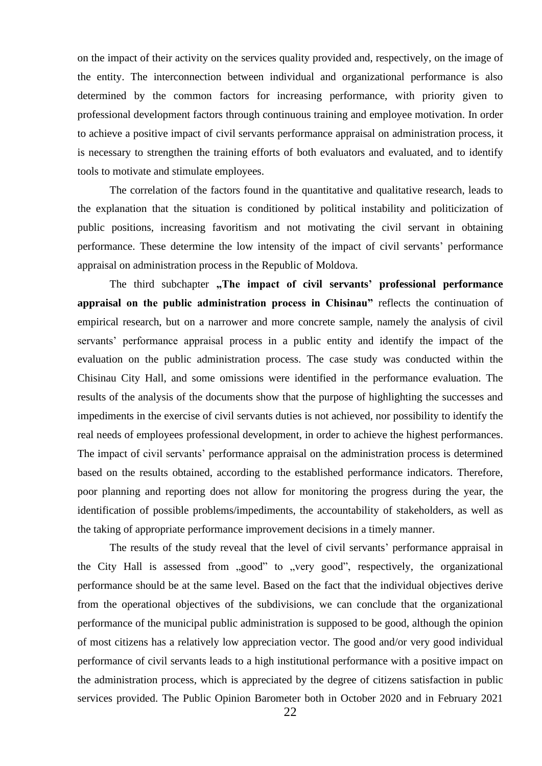on the impact of their activity on the services quality provided and, respectively, on the image of the entity. The interconnection between individual and organizational performance is also determined by the common factors for increasing performance, with priority given to professional development factors through continuous training and employee motivation. In order to achieve a positive impact of civil servants performance appraisal on administration process, it is necessary to strengthen the training efforts of both evaluators and evaluated, and to identify tools to motivate and stimulate employees.

The correlation of the factors found in the quantitative and qualitative research, leads to the explanation that the situation is conditioned by political instability and politicization of public positions, increasing favoritism and not motivating the civil servant in obtaining performance. These determine the low intensity of the impact of civil servants' performance appraisal on administration process in the Republic of Moldova.

The third subchapter "The impact of civil servants' professional performance **appraisal on the public administration process in Chisinau"** reflects the continuation of empirical research, but on a narrower and more concrete sample, namely the analysis of civil servants' performance appraisal process in a public entity and identify the impact of the evaluation on the public administration process. The case study was conducted within the Chisinau City Hall, and some omissions were identified in the performance evaluation. The results of the analysis of the documents show that the purpose of highlighting the successes and impediments in the exercise of civil servants duties is not achieved, nor possibility to identify the real needs of employees professional development, in order to achieve the highest performances. The impact of civil servants' performance appraisal on the administration process is determined based on the results obtained, according to the established performance indicators. Therefore, poor planning and reporting does not allow for monitoring the progress during the year, the identification of possible problems/impediments, the accountability of stakeholders, as well as the taking of appropriate performance improvement decisions in a timely manner.

The results of the study reveal that the level of civil servants' performance appraisal in the City Hall is assessed from "good" to "very good", respectively, the organizational performance should be at the same level. Based on the fact that the individual objectives derive from the operational objectives of the subdivisions, we can conclude that the organizational performance of the municipal public administration is supposed to be good, although the opinion of most citizens has a relatively low appreciation vector. The good and/or very good individual performance of civil servants leads to a high institutional performance with a positive impact on the administration process, which is appreciated by the degree of citizens satisfaction in public services provided. The Public Opinion Barometer both in October 2020 and in February 2021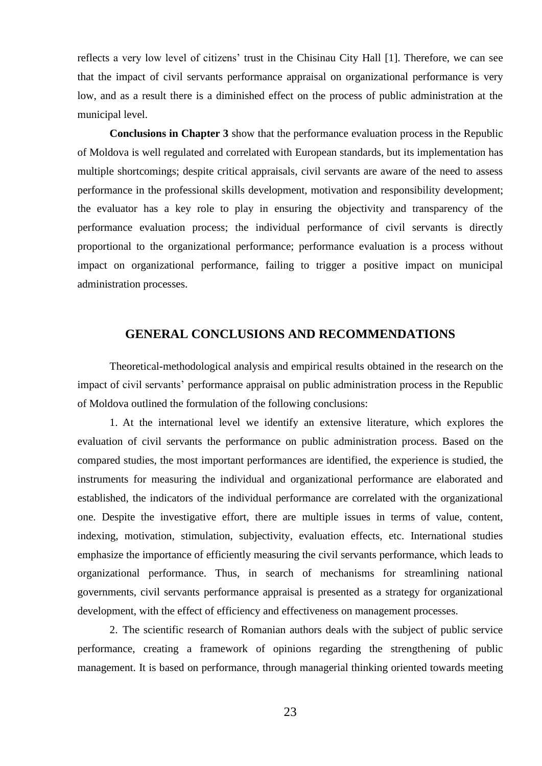reflects a very low level of citizens' trust in the Chisinau City Hall [1]. Therefore, we can see that the impact of civil servants performance appraisal on organizational performance is very low, and as a result there is a diminished effect on the process of public administration at the municipal level.

**Conclusions in Chapter 3** show that the performance evaluation process in the Republic of Moldova is well regulated and correlated with European standards, but its implementation has multiple shortcomings; despite critical appraisals, civil servants are aware of the need to assess performance in the professional skills development, motivation and responsibility development; the evaluator has a key role to play in ensuring the objectivity and transparency of the performance evaluation process; the individual performance of civil servants is directly proportional to the organizational performance; performance evaluation is a process without impact on organizational performance, failing to trigger a positive impact on municipal administration processes.

## **GENERAL CONCLUSIONS AND RECOMMENDATIONS**

<span id="page-22-0"></span>Theoretical-methodological analysis and empirical results obtained in the research on the impact of civil servants' performance appraisal on public administration process in the Republic of Moldova outlined the formulation of the following conclusions:

1. At the international level we identify an extensive literature, which explores the evaluation of civil servants the performance on public administration process. Based on the compared studies, the most important performances are identified, the experience is studied, the instruments for measuring the individual and organizational performance are elaborated and established, the indicators of the individual performance are correlated with the organizational one. Despite the investigative effort, there are multiple issues in terms of value, content, indexing, motivation, stimulation, subjectivity, evaluation effects, etc. International studies emphasize the importance of efficiently measuring the civil servants performance, which leads to organizational performance. Thus, in search of mechanisms for streamlining national governments, civil servants performance appraisal is presented as a strategy for organizational development, with the effect of efficiency and effectiveness on management processes.

2. The scientific research of Romanian authors deals with the subject of public service performance, creating a framework of opinions regarding the strengthening of public management. It is based on performance, through managerial thinking oriented towards meeting

23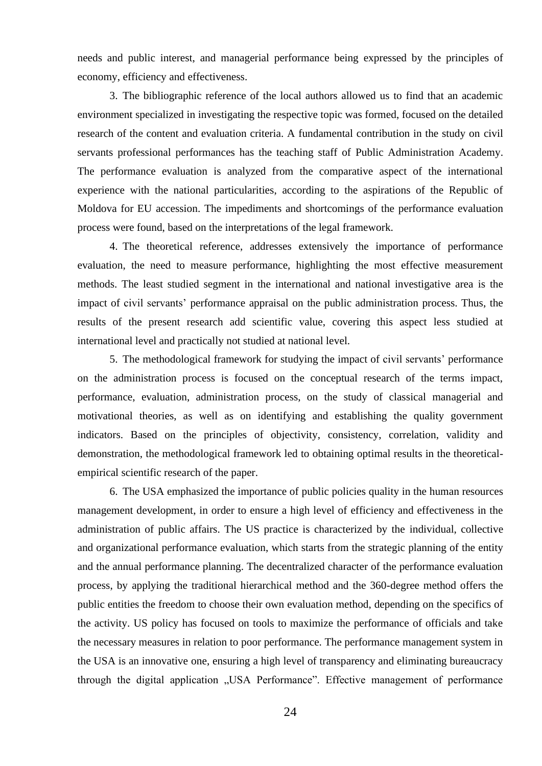needs and public interest, and managerial performance being expressed by the principles of economy, efficiency and effectiveness.

3. The bibliographic reference of the local authors allowed us to find that an academic environment specialized in investigating the respective topic was formed, focused on the detailed research of the content and evaluation criteria. A fundamental contribution in the study on civil servants professional performances has the teaching staff of Public Administration Academy. The performance evaluation is analyzed from the comparative aspect of the international experience with the national particularities, according to the aspirations of the Republic of Moldova for EU accession. The impediments and shortcomings of the performance evaluation process were found, based on the interpretations of the legal framework.

4. The theoretical reference, addresses extensively the importance of performance evaluation, the need to measure performance, highlighting the most effective measurement methods. The least studied segment in the international and national investigative area is the impact of civil servants' performance appraisal on the public administration process. Thus, the results of the present research add scientific value, covering this aspect less studied at international level and practically not studied at national level.

5. The methodological framework for studying the impact of civil servants' performance on the administration process is focused on the conceptual research of the terms impact, performance, evaluation, administration process, on the study of classical managerial and motivational theories, as well as on identifying and establishing the quality government indicators. Based on the principles of objectivity, consistency, correlation, validity and demonstration, the methodological framework led to obtaining optimal results in the theoreticalempirical scientific research of the paper.

6. The USA emphasized the importance of public policies quality in the human resources management development, in order to ensure a high level of efficiency and effectiveness in the administration of public affairs. The US practice is characterized by the individual, collective and organizational performance evaluation, which starts from the strategic planning of the entity and the annual performance planning. The decentralized character of the performance evaluation process, by applying the traditional hierarchical method and the 360-degree method offers the public entities the freedom to choose their own evaluation method, depending on the specifics of the activity. US policy has focused on tools to maximize the performance of officials and take the necessary measures in relation to poor performance. The performance management system in the USA is an innovative one, ensuring a high level of transparency and eliminating bureaucracy through the digital application "USA Performance". Effective management of performance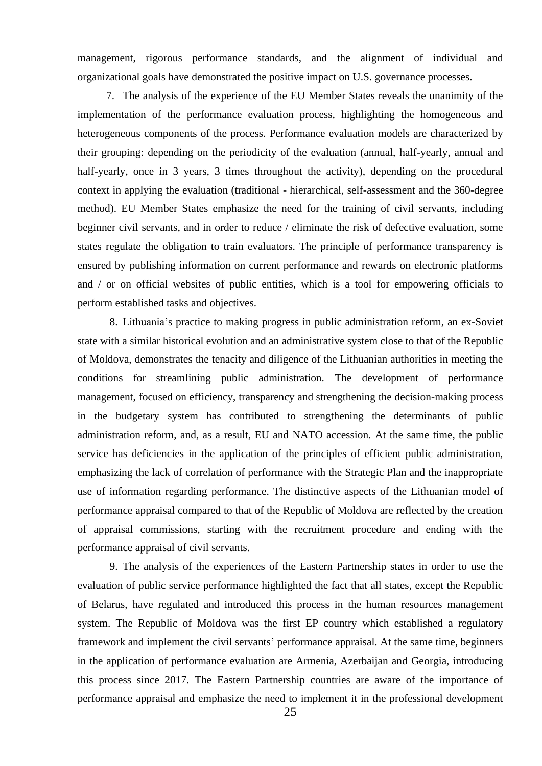management, rigorous performance standards, and the alignment of individual and organizational goals have demonstrated the positive impact on U.S. governance processes.

7. The analysis of the experience of the EU Member States reveals the unanimity of the implementation of the performance evaluation process, highlighting the homogeneous and heterogeneous components of the process. Performance evaluation models are characterized by their grouping: depending on the periodicity of the evaluation (annual, half-yearly, annual and half-yearly, once in 3 years, 3 times throughout the activity), depending on the procedural context in applying the evaluation (traditional - hierarchical, self-assessment and the 360-degree method). EU Member States emphasize the need for the training of civil servants, including beginner civil servants, and in order to reduce / eliminate the risk of defective evaluation, some states regulate the obligation to train evaluators. The principle of performance transparency is ensured by publishing information on current performance and rewards on electronic platforms and / or on official websites of public entities, which is a tool for empowering officials to perform established tasks and objectives.

8. Lithuania's practice to making progress in public administration reform, an ex-Soviet state with a similar historical evolution and an administrative system close to that of the Republic of Moldova, demonstrates the tenacity and diligence of the Lithuanian authorities in meeting the conditions for streamlining public administration. The development of performance management, focused on efficiency, transparency and strengthening the decision-making process in the budgetary system has contributed to strengthening the determinants of public administration reform, and, as a result, EU and NATO accession. At the same time, the public service has deficiencies in the application of the principles of efficient public administration, emphasizing the lack of correlation of performance with the Strategic Plan and the inappropriate use of information regarding performance. The distinctive aspects of the Lithuanian model of performance appraisal compared to that of the Republic of Moldova are reflected by the creation of appraisal commissions, starting with the recruitment procedure and ending with the performance appraisal of civil servants.

9. The analysis of the experiences of the Eastern Partnership states in order to use the evaluation of public service performance highlighted the fact that all states, except the Republic of Belarus, have regulated and introduced this process in the human resources management system. The Republic of Moldova was the first EP country which established a regulatory framework and implement the civil servants' performance appraisal. At the same time, beginners in the application of performance evaluation are Armenia, Azerbaijan and Georgia, introducing this process since 2017. The Eastern Partnership countries are aware of the importance of performance appraisal and emphasize the need to implement it in the professional development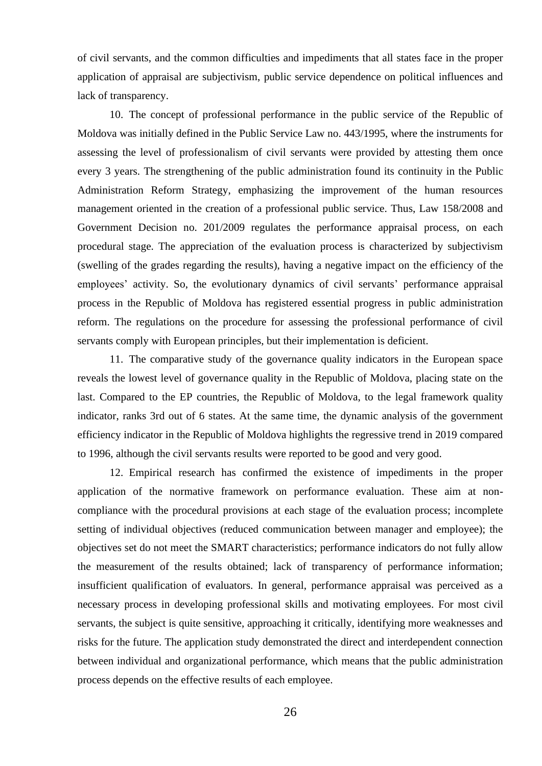of civil servants, and the common difficulties and impediments that all states face in the proper application of appraisal are subjectivism, public service dependence on political influences and lack of transparency.

10. The concept of professional performance in the public service of the Republic of Moldova was initially defined in the Public Service Law no. 443/1995, where the instruments for assessing the level of professionalism of civil servants were provided by attesting them once every 3 years. The strengthening of the public administration found its continuity in the Public Administration Reform Strategy, emphasizing the improvement of the human resources management oriented in the creation of a professional public service. Thus, Law 158/2008 and Government Decision no. 201/2009 regulates the performance appraisal process, on each procedural stage. The appreciation of the evaluation process is characterized by subjectivism (swelling of the grades regarding the results), having a negative impact on the efficiency of the employees' activity. So, the evolutionary dynamics of civil servants' performance appraisal process in the Republic of Moldova has registered essential progress in public administration reform. The regulations on the procedure for assessing the professional performance of civil servants comply with European principles, but their implementation is deficient.

11. The comparative study of the governance quality indicators in the European space reveals the lowest level of governance quality in the Republic of Moldova, placing state on the last. Compared to the EP countries, the Republic of Moldova, to the legal framework quality indicator, ranks 3rd out of 6 states. At the same time, the dynamic analysis of the government efficiency indicator in the Republic of Moldova highlights the regressive trend in 2019 compared to 1996, although the civil servants results were reported to be good and very good.

12. Empirical research has confirmed the existence of impediments in the proper application of the normative framework on performance evaluation. These aim at noncompliance with the procedural provisions at each stage of the evaluation process; incomplete setting of individual objectives (reduced communication between manager and employee); the objectives set do not meet the SMART characteristics; performance indicators do not fully allow the measurement of the results obtained; lack of transparency of performance information; insufficient qualification of evaluators. In general, performance appraisal was perceived as a necessary process in developing professional skills and motivating employees. For most civil servants, the subject is quite sensitive, approaching it critically, identifying more weaknesses and risks for the future. The application study demonstrated the direct and interdependent connection between individual and organizational performance, which means that the public administration process depends on the effective results of each employee.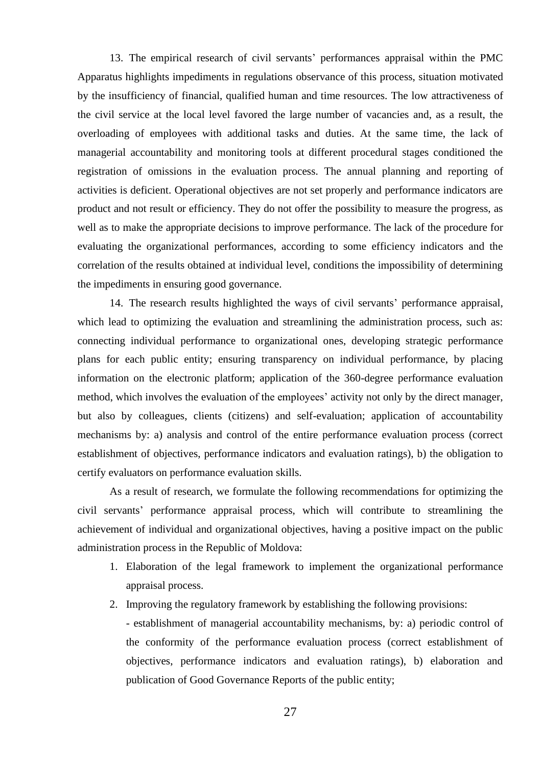13. The empirical research of civil servants' performances appraisal within the PMC Apparatus highlights impediments in regulations observance of this process, situation motivated by the insufficiency of financial, qualified human and time resources. The low attractiveness of the civil service at the local level favored the large number of vacancies and, as a result, the overloading of employees with additional tasks and duties. At the same time, the lack of managerial accountability and monitoring tools at different procedural stages conditioned the registration of omissions in the evaluation process. The annual planning and reporting of activities is deficient. Operational objectives are not set properly and performance indicators are product and not result or efficiency. They do not offer the possibility to measure the progress, as well as to make the appropriate decisions to improve performance. The lack of the procedure for evaluating the organizational performances, according to some efficiency indicators and the correlation of the results obtained at individual level, conditions the impossibility of determining the impediments in ensuring good governance.

14. The research results highlighted the ways of civil servants' performance appraisal, which lead to optimizing the evaluation and streamlining the administration process, such as: connecting individual performance to organizational ones, developing strategic performance plans for each public entity; ensuring transparency on individual performance, by placing information on the electronic platform; application of the 360-degree performance evaluation method, which involves the evaluation of the employees' activity not only by the direct manager, but also by colleagues, clients (citizens) and self-evaluation; application of accountability mechanisms by: a) analysis and control of the entire performance evaluation process (correct establishment of objectives, performance indicators and evaluation ratings), b) the obligation to certify evaluators on performance evaluation skills.

As a result of research, we formulate the following recommendations for optimizing the civil servants' performance appraisal process, which will contribute to streamlining the achievement of individual and organizational objectives, having a positive impact on the public administration process in the Republic of Moldova:

- 1. Elaboration of the legal framework to implement the organizational performance appraisal process.
- 2. Improving the regulatory framework by establishing the following provisions:

- establishment of managerial accountability mechanisms, by: a) periodic control of the conformity of the performance evaluation process (correct establishment of objectives, performance indicators and evaluation ratings), b) elaboration and publication of Good Governance Reports of the public entity;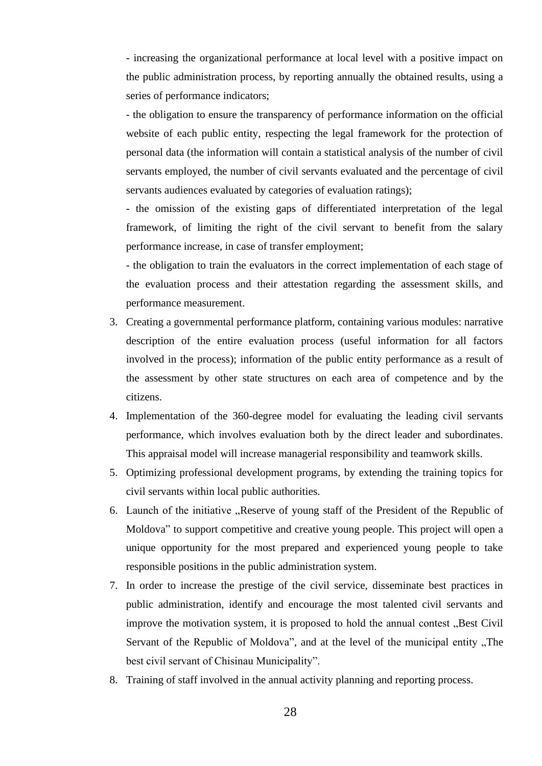- increasing the organizational performance at local level with a positive impact on the public administration process, by reporting annually the obtained results, using a series of performance indicators;

- the obligation to ensure the transparency of performance information on the official website of each public entity, respecting the legal framework for the protection of personal data (the information will contain a statistical analysis of the number of civil servants employed, the number of civil servants evaluated and the percentage of civil servants audiences evaluated by categories of evaluation ratings);

- the omission of the existing gaps of differentiated interpretation of the legal framework, of limiting the right of the civil servant to benefit from the salary performance increase, in case of transfer employment;

- the obligation to train the evaluators in the correct implementation of each stage of the evaluation process and their attestation regarding the assessment skills, and performance measurement.

- 3. Creating a governmental performance platform, containing various modules: narrative description of the entire evaluation process (useful information for all factors involved in the process); information of the public entity performance as a result of the assessment by other state structures on each area of competence and by the citizens.
- 4. Implementation of the 360-degree model for evaluating the leading civil servants performance, which involves evaluation both by the direct leader and subordinates. This appraisal model will increase managerial responsibility and teamwork skills.
- 5. Optimizing professional development programs, by extending the training topics for civil servants within local public authorities.
- 6. Launch of the initiative "Reserve of young staff of the President of the Republic of Moldova" to support competitive and creative young people. This project will open a unique opportunity for the most prepared and experienced young people to take responsible positions in the public administration system.
- 7. In order to increase the prestige of the civil service, disseminate best practices in public administration, identify and encourage the most talented civil servants and improve the motivation system, it is proposed to hold the annual contest, Best Civil Servant of the Republic of Moldova", and at the level of the municipal entity "The best civil servant of Chisinau Municipality".
- 8. Training of staff involved in the annual activity planning and reporting process.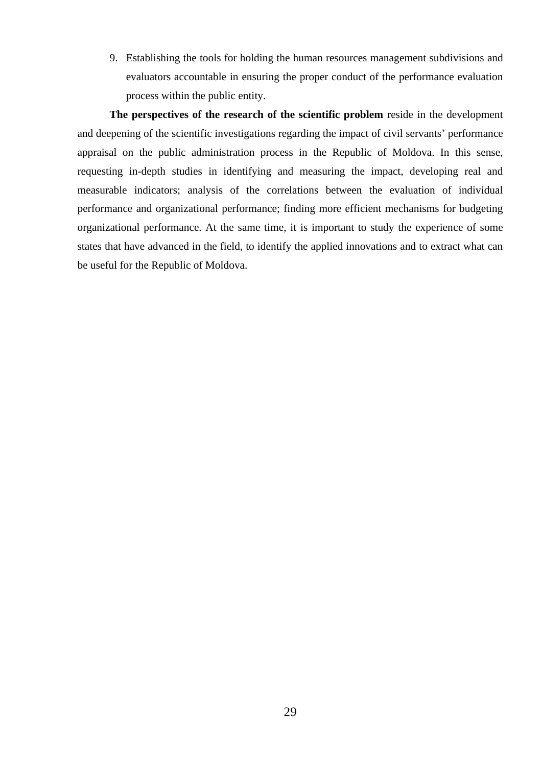9. Establishing the tools for holding the human resources management subdivisions and evaluators accountable in ensuring the proper conduct of the performance evaluation process within the public entity.

**The perspectives of the research of the scientific problem** reside in the development and deepening of the scientific investigations regarding the impact of civil servants' performance appraisal on the public administration process in the Republic of Moldova. In this sense, requesting in-depth studies in identifying and measuring the impact, developing real and measurable indicators; analysis of the correlations between the evaluation of individual performance and organizational performance; finding more efficient mechanisms for budgeting organizational performance. At the same time, it is important to study the experience of some states that have advanced in the field, to identify the applied innovations and to extract what can be useful for the Republic of Moldova.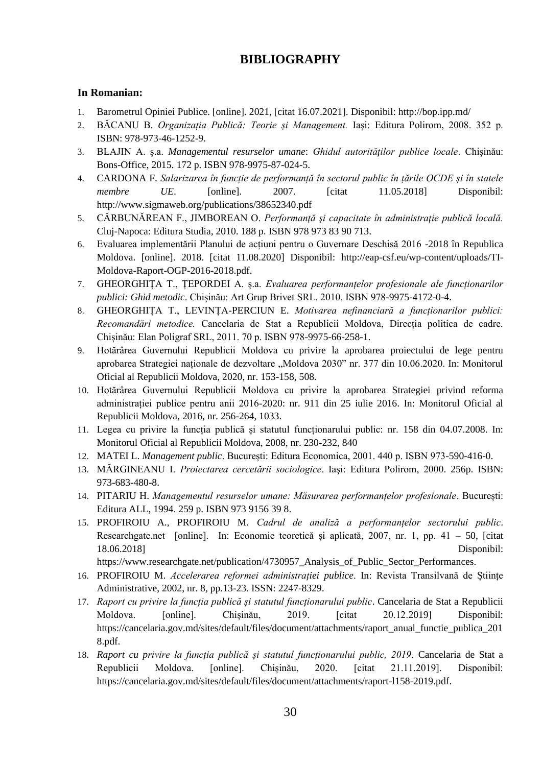# **BIBLIOGRAPHY**

#### <span id="page-29-0"></span>**In Romanian:**

- 1. Barometrul Opiniei Publice. [online]. 2021, [citat 16.07.2021]. Disponibil: http://bop.ipp.md/
- 2. BĂCANU B. *Organizația Publică: Teorie și Management.* Iași: Editura Polirom, 2008. 352 p. ISBN: 978-973-46-1252-9.
- 3. BLAJIN A. ş.a. *Managementul resurselor umane*: *Ghidul autorităţilor publice locale*. Chişinău: Bons-Office, 2015. 172 p. ISBN 978-9975-87-024-5.
- 4. CARDONA F. *Salarizarea în funcție de performanță în sectorul public în țările OCDE și în statele membre UE*. [online]. 2007. [citat 11.05.2018] Disponibil: <http://www.sigmaweb.org/publications/38652340.pdf>
- 5. CĂRBUNĂREAN F., JIMBOREAN O. *Performanţă şi capacitate în administraţie publică locală.* Cluj-Napoca: Editura Studia, 2010. 188 p. ISBN 978 973 83 90 713.
- 6. Evaluarea implementării Planului de acțiuni pentru o Guvernare Deschisă 2016 -2018 în Republica Moldova. [online]. 2018. [citat 11.08.2020] Disponibil: [http://eap-csf.eu/wp-content/uploads/TI-](http://eap-csf.eu/wp-content/uploads/TI-Moldova-Raport-OGP-2016-2018.pdf)[Moldova-Raport-OGP-2016-2018.pdf.](http://eap-csf.eu/wp-content/uploads/TI-Moldova-Raport-OGP-2016-2018.pdf)
- 7. GHEORGHIȚA T., ȚEPORDEI A. ș.a. *Evaluarea performanțelor profesionale ale funcționarilor publici: Ghid metodic*. Chișinău: Art Grup Brivet SRL. 2010. ISBN 978-9975-4172-0-4.
- 8. GHEORGHIȚA T., LEVINȚA-PERCIUN E. *Motivarea nefinanciară a funcționarilor publici: Recomandări metodice.* Cancelaria de Stat a Republicii Moldova, Direcția politica de cadre. Chișinău: Elan Poligraf SRL, 2011. 70 p. ISBN 978-9975-66-258-1.
- 9. Hotărârea Guvernului Republicii Moldova cu privire la aprobarea proiectului de lege pentru aprobarea Strategiei naționale de dezvoltare "Moldova 2030" nr. 377 din 10.06.2020. In: Monitorul Oficial al Republicii Moldova, 2020, nr. 153-158, 508.
- 10. Hotărârea Guvernului Republicii Moldova cu privire la aprobarea Strategiei privind reforma administrației publice pentru anii 2016-2020: nr. 911 din 25 iulie 2016. In: Monitorul Oficial al Republicii Moldova, 2016, nr. 256-264, 1033.
- 11. Legea cu privire la funcția publică și statutul funcționarului public: nr. 158 din 04.07.2008. In: Monitorul Oficial al Republicii Moldova, 2008, nr. 230-232, 840
- 12. MATEI L. *Management public*. București: Editura Economica, 2001. 440 p. ISBN 973-590-416-0.
- 13. MĂRGINEANU I. *Proiectarea cercetării sociologice*. Iaşi: Editura Polirom, 2000. 256p. ISBN: 973-683-480-8.
- 14. PITARIU H. *Managementul resurselor umane: Măsurarea performanțelor profesionale*. București: Editura ALL, 1994. 259 p. ISBN 973 9156 39 8.
- 15. PROFIROIU A., PROFIROIU M. *Cadrul de analiză a performanțelor sectorului public*. Researchgate.net [online]. In: Economie teoretică și aplicată, 2007, nr. 1, pp. 41 – 50, [citat 18.06.2018] Disponibil:

https://www.researchgate.net/publication/4730957\_Analysis\_of\_Public\_Sector\_Performances.

- 16. PROFIROIU M. *Accelerarea reformei administrației publice*. In: Revista Transilvană de Științe Administrative, 2002, nr. 8, pp.13-23. ISSN: 2247-8329.
- 17. *Raport cu privire la funcția publică și statutul funcționarului public*. Cancelaria de Stat a Republicii Moldova. [online]. Chișinău, 2019. [citat 20.12.2019] Disponibil: [https://cancelaria.gov.md/sites/default/files/document/attachments/raport\\_anual\\_functie\\_publica\\_201](https://cancelaria.gov.md/sites/default/files/document/attachments/raport_anual_functie_publica_2018.pdf) [8.pdf.](https://cancelaria.gov.md/sites/default/files/document/attachments/raport_anual_functie_publica_2018.pdf)
- 18. *Raport cu privire la funcția publică și statutul funcționarului public, 2019*. Cancelaria de Stat a Republicii Moldova. [online]. Chișinău, 2020. [citat 21.11.2019]. Disponibil: [https://cancelaria.gov.md/sites/default/files/document/attachments/raport-l158-2019.pdf.](https://cancelaria.gov.md/sites/default/files/document/attachments/raport-l158-2019.pdf)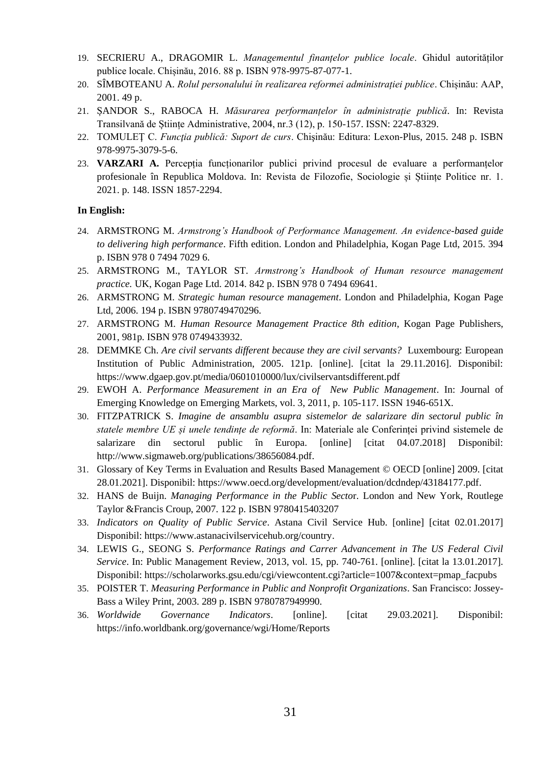- 19. SECRIERU A., DRAGOMIR L. *Managementul finanțelor publice locale*. Ghidul autorităților publice locale. Chișinău, 2016. 88 p. ISBN 978-9975-87-077-1.
- 20. SÎMBOTEANU A. *Rolul personalului în realizarea reformei administrației publice*. Chișinău: AAP, 2001. 49 p.
- 21. ȘANDOR S., RABOCA H. *Măsurarea performanțelor în administrație publică*. In: Revista Transilvană de Științe Administrative, 2004, nr.3 (12), p. 150-157. ISSN: 2247-8329.
- 22. TOMULEŢ C. *Funcţia publică: Suport de curs*. Chişinău: Editura: Lexon-Plus, 2015. 248 p. ISBN 978-9975-3079-5-6.
- 23. **VARZARI A.** Percepția funcționarilor publici privind procesul de evaluare a performanțelor profesionale în Republica Moldova. In: Revista de Filozofie, Sociologie și Științe Politice nr. 1. 2021. p. 148. ISSN 1857-2294.

#### **In English:**

- 24. ARMSTRONG M. *Armstrong's Handbook of Performance Management. An evidence-based guide to delivering high performance*. Fifth edition. London and Philadelphia, Kogan Page Ltd, 2015. 394 p. ISBN 978 0 7494 7029 6.
- 25. ARMSTRONG M., TAYLOR ST. *Armstrong's Handbook of Human resource management practice.* UK, Kogan Page Ltd. 2014. 842 p. ISBN 978 0 7494 69641.
- 26. ARMSTRONG M. *Strategic human resource management*. London and Philadelphia, Kogan Page Ltd, 2006. 194 p. ISBN 9780749470296.
- 27. ARMSTRONG M. *Human Resource Management Practice 8th edition*, Kogan Page Publishers, 2001, 981p. ISBN 978 0749433932.
- 28. DEMMKE Ch. *Are civil servants different because they are civil servants?* Luxembourg: European Institution of Public Administration, 2005. 121p. [online]. [citat la 29.11.2016]. Disponibil: <https://www.dgaep.gov.pt/media/0601010000/lux/civilservantsdifferent.pdf>
- 29. EWOH A. *Performance Measurement in an Era of New Public Management*. In: Journal of Emerging Knowledge on Emerging Markets, vol. 3, 2011, p. 105-117. ISSN 1946-651X.
- 30. FITZPATRICK S. *Imagine de ansamblu asupra sistemelor de salarizare din sectorul public în statele membre UE și unele tendințe de reformă*. In: Materiale ale Conferinței privind sistemele de salarizare din sectorul public în Europa. [online] [citat 04.07.2018] Disponibil: [http://www.sigmaweb.org/publications/38656084.pdf.](http://www.sigmaweb.org/publications/38656084.pdf)
- 31. Glossary of Key Terms in Evaluation and Results Based Management © OECD [online] 2009. [citat 28.01.2021]. Disponibil: [https://www.oecd.org/development/evaluation/dcdndep/43184177.pdf.](https://www.oecd.org/development/evaluation/dcdndep/43184177.pdf)
- 32. HANS de Buijn. *Managing Performance in the Public Secto*r. London and New York, Routlege Taylor &Francis Croup, 2007. 122 p. ISBN 9780415403207
- 33. *Indicators on Quality of Public Service*. Astana Civil Service Hub. [online] [citat 02.01.2017] Disponibil[: https://www.astanacivilservicehub.org/country.](https://www.astanacivilservicehub.org/country)
- 34. LEWIS G., SEONG S. *Performance Ratings and Carrer Advancement in The US Federal Civil Service*. In: Public Management Review, 2013, vol. 15, pp. 740-761. [online]. [citat la 13.01.2017]. Disponibil[: https://scholarworks.gsu.edu/cgi/viewcontent.cgi?article=1007&context=pmap\\_facpubs](https://scholarworks.gsu.edu/cgi/viewcontent.cgi?article=1007&context=pmap_facpubs)
- 35. POISTER T. *Measuring Performance in Public and Nonprofit Organizations*. San Francisco: Jossey-Bass a Wiley Print, 2003. 289 p. ISBN 9780787949990.
- 36. *Worldwide Governance Indicators*. [online]. [citat 29.03.2021]. Disponibil: <https://info.worldbank.org/governance/wgi/Home/Reports>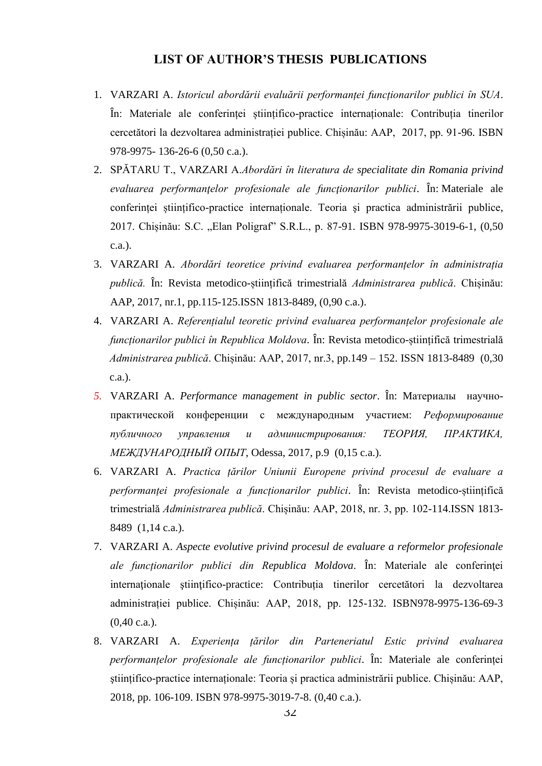#### **LIST OF AUTHOR'S THESIS PUBLICATIONS**

- <span id="page-31-0"></span>1. VARZARI A. *Istoricul abordării evaluării performanței funcționarilor publici în SUA*. În: Materiale ale conferinței științifico-practice internaționale: Contribuția tinerilor cercetători la dezvoltarea administrației publice. Chișinău: AAP, 2017, pp. 91-96. ISBN 978-9975- 136-26-6 (0,50 c.a.).
- 2. SPĂTARU T., VARZARI A.*Abordări în literatura de specialitate din Romania privind evaluarea performanţelor profesionale ale funcţionarilor publici*. În: Materiale ale conferinței științifico-practice internaționale. Teoria şi practica administrării publice, 2017. Chișinău: S.C. "Elan Poligraf" S.R.L., p. 87-91. ISBN 978-9975-3019-6-1, (0,50 c.a.).
- 3. VARZARI A. *Abordări teoretice privind evaluarea performanțelor în administrația publică.* În: Revista metodico-științifică trimestrială *Administrarea publică*. Chișinău: AAP, 2017, nr.1, pp.115-125.ISSN 1813-8489, (0,90 c.a.).
- VARZARI A. *Referențialul teoretic privind evaluarea performanțelor profesionale ale*  4.*funcționarilor publici în Republica Moldova*. În: Revista metodico-științifică trimestrială *Administrarea publică*. Chișinău: AAP, 2017, nr.3, pp.149 – 152. ISSN 1813-8489 (0,30 c.a.).
- *5.* VARZARI A. *Performance management in public sector*. În: Mатериалы научнопрактической конференции с международным участием: *Реформирование публичного управления и администрирования: ТЕОРИЯ, ПРАКТИКА, МЕЖДУНАРОДНЫЙ ОПЫТ*, Odessa, 2017, p.9 (0,15 c.a.).
- 6. VARZARI A. *Practica țărilor Uniunii Europene privind procesul de evaluare a performanței profesionale a funcționarilor publici*. În: Revista metodico-științifică trimestrială *Administrarea publică*. Chișinău: AAP, 2018, nr. 3, pp. 102-114.ISSN 1813- 8489 (1,14 c.a.).
- 7. VARZARI A. *Aspecte evolutive privind procesul de evaluare a reformelor profesionale ale funcționarilor publici din Republica Moldova*. În: Materiale ale conferinţei internaţionale ştiinţifico-practice: Contribuția tinerilor cercetători la dezvoltarea administrației publice. Chișinău: AAP, 2018, pp. 125-132. ISBN978-9975-136-69-3 (0,40 c.a.).
- 8. VARZARI A. *Experiența țărilor din Parteneriatul Estic privind evaluarea performanțelor profesionale ale funcționarilor publici*. În: Materiale ale conferinței ştiințifico-practice internaționale: Teoria și practica administrării publice. Chișinău: AAP, 2018, pp. 106-109. ISBN 978-9975-3019-7-8. (0,40 c.a.).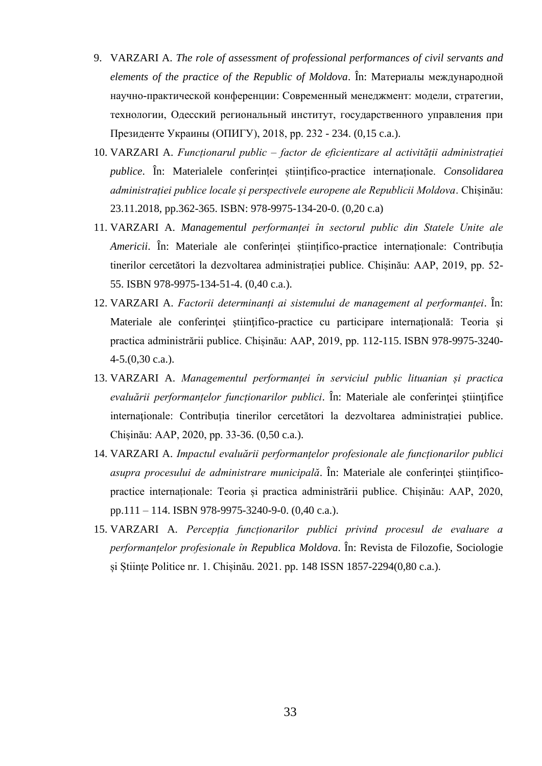- 9. VARZARI A. *The role of assessment of professional performances of civil servants and elements of the practice of the Republic of Moldova*. În: Mатериалы международной научно-практической конференции: Современный менеджмент: модели, стратегии, технологии, Одесский региональный институт, государственного управления при Президенте Украины (ОПИГУ), 2018, pp. 232 - 234. (0,15 c.a.).
- 10. VARZARI A. *Funcționarul public – factor de eficientizare al activității administrației publice*. În: Materialele conferinței științifico-practice internaționale. *Consolidarea administrației publice locale și perspectivele europene ale Republicii Moldova*. Chișinău: 23.11.2018, pp.362-365. ISBN: 978-9975-134-20-0. (0,20 c.a)
- 11. VARZARI A. *Managementul performanței în sectorul public din Statele Unite ale Americii*. În: Materiale ale conferinței științifico-practice internaționale: Contribuția tinerilor cercetători la dezvoltarea administrației publice. Chișinău: AAP, 2019, pp. 52- 55. ISBN 978-9975-134-51-4. (0,40 c.a.).
- 12. VARZARI A. *Factorii determinanți ai sistemului de management al performanței*. În: Materiale ale conferinței științifico-practice cu participare internațională: Teoria și practica administrării publice. Chișinău: AAP, 2019, pp. 112-115. ISBN 978-9975-3240- 4-5.(0,30 c.a.).
- 13. VARZARI A. *Managementul performanței în serviciul public lituanian și practica*  evaluării performanțelor funcționarilor publici. În: Materiale ale conferinței științifice internationale: Contributia tinerilor cercetători la dezvoltarea administrației publice. Chișinău: AAP, 2020, pp. 33-36. (0,50 c.a.).
- 14. VARZARI A. *Impactul evaluării performanțelor profesionale ale funcționarilor publici asupra procesului de administrare municipală*. În: Materiale ale conferinţei ştiinţificopractice internaționale: Teoria și practica administrării publice. Chișinău: AAP, 2020, pp.111 – 114. ISBN 978-9975-3240-9-0. (0,40 c.a.).
- 15. VARZARI A. *Percepția funcționarilor publici privind procesul de evaluare a performanțelor profesionale în Republica Moldova*. În: Revista de Filozofie, Sociologie și Științe Politice nr. 1. Chișinău. 2021. pp. 148 ISSN 1857-2294(0,80 c.a.).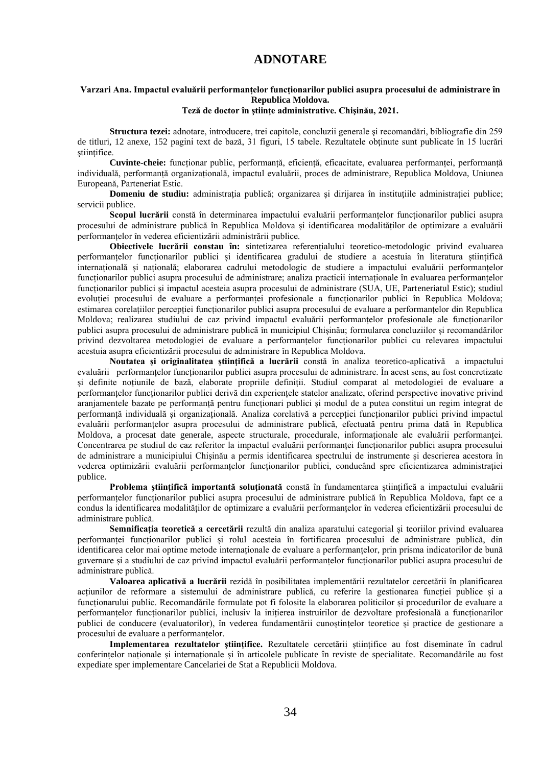#### **ADNOTARE**

#### **Varzari Ana. Impactul evaluării performanțelor funcționarilor publici asupra procesului de administrare în Republica Moldova.**

#### **Teză de doctor în ştiinţe administrative. Chişinău, 2021.**

**Structura tezei:** adnotare, introducere, trei capitole, concluzii generale şi recomandări, bibliografie din 259 de titluri, 12 anexe, 152 pagini text de bază, 31 figuri, 15 tabele. Rezultatele obţinute sunt publicate în 15 lucrări ştiinţifice.

**Cuvinte-cheie:** funcționar public, performanță, eficiență, eficacitate, evaluarea performanței, performanță individuală, performanță organizațională, impactul evaluării, proces de administrare, Republica Moldova, Uniunea Europeană, Parteneriat Estic.

**Domeniu de studiu:** administrația publică; organizarea și dirijarea în instituțiile administrației publice; servicii publice.

**Scopul lucrării** constă în determinarea impactului evaluării performanțelor funcționarilor publici asupra procesului de administrare publică în Republica Moldova și identificarea modalităților de optimizare a evaluării performanțelor în vederea eficientizării administrării publice.

**Obiectivele lucrării constau în:** sintetizarea referențialului teoretico-metodologic privind evaluarea performanțelor funcționarilor publici și identificarea gradului de studiere a acestuia în literatura științifică internațională și națională; elaborarea cadrului metodologic de studiere a impactului evaluării performanțelor funcționarilor publici asupra procesului de administrare; analiza practicii internaționale în evaluarea performanțelor funcționarilor publici și impactul acesteia asupra procesului de administrare (SUA, UE, Parteneriatul Estic); studiul evoluției procesului de evaluare a performanței profesionale a funcționarilor publici în Republica Moldova; estimarea corelațiilor percepției funcționarilor publici asupra procesului de evaluare a performanțelor din Republica Moldova; realizarea studiului de caz privind impactul evaluării performanțelor profesionale ale funcționarilor publici asupra procesului de administrare publică în municipiul Chișinău; formularea concluziilor și recomandărilor privind dezvoltarea metodologiei de evaluare a performanțelor funcționarilor publici cu relevarea impactului acestuia asupra eficientizării procesului de administrare în Republica Moldova.

**Noutatea şi originalitatea ştiinţifică a lucrării** constă în analiza teoretico-aplicativă a impactului evaluării performanțelor funcționarilor publici asupra procesului de administrare. În acest sens, au fost concretizate și definite noțiunile de bază, elaborate propriile definiții. Studiul comparat al metodologiei de evaluare a performanțelor funcționarilor publici derivă din experiențele statelor analizate, oferind perspective inovative privind aranjamentele bazate pe performanță pentru funcționari publici și modul de a putea constitui un regim integrat de performanță individuală și organizațională. Analiza corelativă a percepției funcționarilor publici privind impactul evaluării performanțelor asupra procesului de administrare publică, efectuată pentru prima dată în Republica Moldova, a procesat date generale, aspecte structurale, procedurale, informaționale ale evaluării performanței. Concentrarea pe studiul de caz referitor la impactul evaluării performanței funcționarilor publici asupra procesului de administrare a municipiului Chişinău a permis identificarea spectrului de instrumente și descrierea acestora în vederea optimizării evaluării performanțelor funcționarilor publici, conducând spre eficientizarea administrației publice.

**Problema ştiinţifică importantă soluţionată** constă în fundamentarea științifică a impactului evaluării performanțelor funcționarilor publici asupra procesului de administrare publică în Republica Moldova, fapt ce a condus la identificarea modalităților de optimizare a evaluării performanțelor în vederea eficientizării procesului de administrare publică.

**Semnificația teoretică a cercetării** rezultă din analiza aparatului categorial și teoriilor privind evaluarea performanței funcționarilor publici și rolul acesteia în fortificarea procesului de administrare publică, din identificarea celor mai optime metode internaționale de evaluare a performanțelor, prin prisma indicatorilor de bună guvernare și a studiului de caz privind impactul evaluării performanțelor funcționarilor publici asupra procesului de administrare publică.

**Valoarea aplicativă a lucrării** rezidă în posibilitatea implementării rezultatelor cercetării în planificarea acțiunilor de reformare a sistemului de administrare publică, cu referire la gestionarea funcției publice și a funcționarului public. Recomandările formulate pot fi folosite la elaborarea politicilor și procedurilor de evaluare a performanțelor funcționarilor publici, inclusiv la inițierea instruirilor de dezvoltare profesională a funcționarilor publici de conducere (evaluatorilor), în vederea fundamentării cunoștințelor teoretice și practice de gestionare a procesului de evaluare a performanțelor.

**Implementarea rezultatelor ştiinţifice.** Rezultatele cercetării științifice au fost diseminate în cadrul conferințelor naționale și internaționale și în articolele publicate în reviste de specialitate. Recomandările au fost expediate sper implementare Cancelariei de Stat a Republicii Moldova.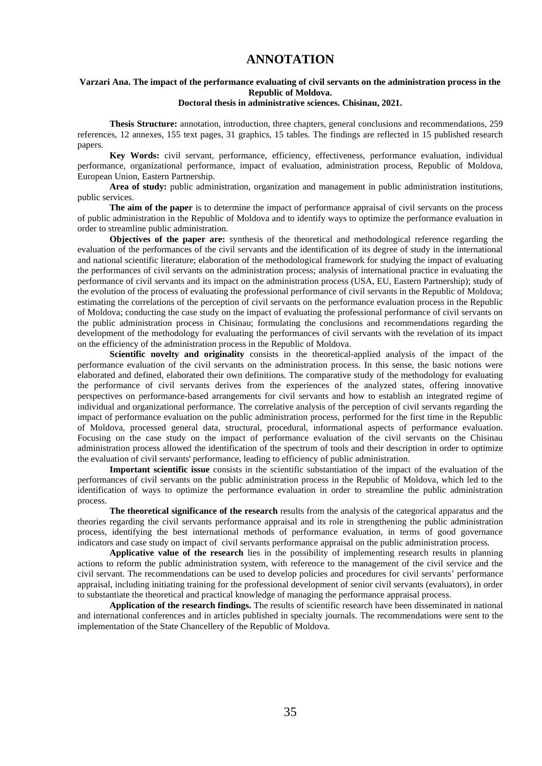### **ANNOTATION**

#### <span id="page-34-0"></span>**Varzari Ana. The impact of the performance evaluating of civil servants on the administration process in the Republic of Moldova.**

#### **Doctoral thesis in administrative sciences. Chisinau, 2021.**

**Thesis Structure:** annotation, introduction, three chapters, general conclusions and recommendations, 259 references, 12 annexes, 155 text pages, 31 graphics, 15 tables. The findings are reflected in 15 published research papers.

**Key Words:** civil servant, performance, efficiency, effectiveness, performance evaluation, individual performance, organizational performance, impact of evaluation, administration process, Republic of Moldova, European Union, Eastern Partnership.

**Area of study:** public administration, organization and management in public administration institutions, public services.

**The aim of the paper** is to determine the impact of performance appraisal of civil servants on the process of public administration in the Republic of Moldova and to identify ways to optimize the performance evaluation in order to streamline public administration.

**Objectives of the paper are:** synthesis of the theoretical and methodological reference regarding the evaluation of the performances of the civil servants and the identification of its degree of study in the international and national scientific literature; elaboration of the methodological framework for studying the impact of evaluating the performances of civil servants on the administration process; analysis of international practice in evaluating the performance of civil servants and its impact on the administration process (USA, EU, Eastern Partnership); study of the evolution of the process of evaluating the professional performance of civil servants in the Republic of Moldova; estimating the correlations of the perception of civil servants on the performance evaluation process in the Republic of Moldova; conducting the case study on the impact of evaluating the professional performance of civil servants on the public administration process in Chisinau; formulating the conclusions and recommendations regarding the development of the methodology for evaluating the performances of civil servants with the revelation of its impact on the efficiency of the administration process in the Republic of Moldova.

Scientific novelty and originality consists in the theoretical-applied analysis of the impact of the performance evaluation of the civil servants on the administration process. In this sense, the basic notions were elaborated and defined, elaborated their own definitions. The comparative study of the methodology for evaluating the performance of civil servants derives from the experiences of the analyzed states, offering innovative perspectives on performance-based arrangements for civil servants and how to establish an integrated regime of individual and organizational performance. The correlative analysis of the perception of civil servants regarding the impact of performance evaluation on the public administration process, performed for the first time in the Republic of Moldova, processed general data, structural, procedural, informational aspects of performance evaluation. Focusing on the case study on the impact of performance evaluation of the civil servants on the Chisinau administration process allowed the identification of the spectrum of tools and their description in order to optimize the evaluation of civil servants' performance, leading to efficiency of public administration.

**Important scientific issue** consists in the scientific substantiation of the impact of the evaluation of the performances of civil servants on the public administration process in the Republic of Moldova, which led to the identification of ways to optimize the performance evaluation in order to streamline the public administration process.

**The theoretical significance of the research** results from the analysis of the categorical apparatus and the theories regarding the civil servants performance appraisal and its role in strengthening the public administration process, identifying the best international methods of performance evaluation, in terms of good governance indicators and case study on impact of civil servants performance appraisal on the public administration process.

**Applicative value of the research** lies in the possibility of implementing research results in planning actions to reform the public administration system, with reference to the management of the civil service and the civil servant. The recommendations can be used to develop policies and procedures for civil servants' performance appraisal, including initiating training for the professional development of senior civil servants (evaluators), in order to substantiate the theoretical and practical knowledge of managing the performance appraisal process.

**Application of the research findings.** The results of scientific research have been disseminated in national and international conferences and in articles published in specialty journals. The recommendations were sent to the implementation of the State Chancellery of the Republic of Moldova.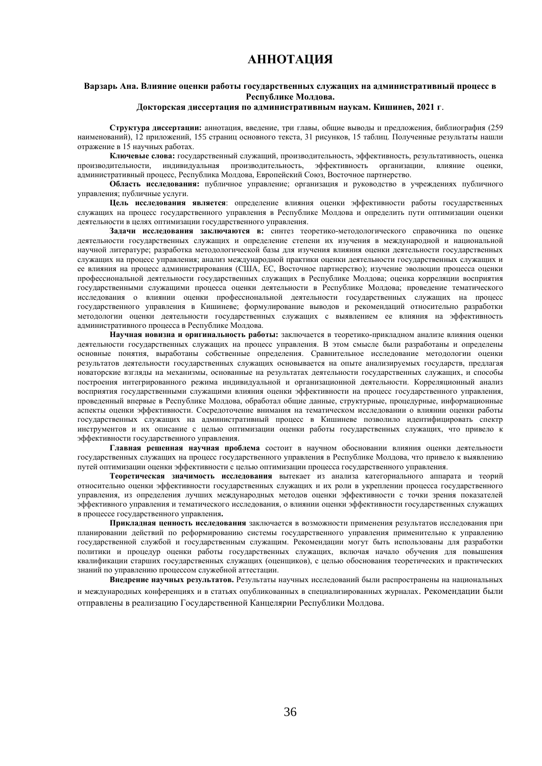## **АННОТАЦИЯ**

#### **Варзарь Ана. Влияние оценки работы государственных служащих на административный процесс в Республике Молдова.**

#### **Докторская диссертация по административным наукам. Кишинев, 2021 г**.

**Структура диссертации:** аннотация, введение, три главы, общие выводы и предложения, библиография (259 наименований), 12 приложений, 155 страниц основного текста, 31 рисунков, 15 таблиц. Полученные результаты нашли отражение в 15 научных работах.

**Ключевые слова:** государственный служащий, производительность, эффективность, результативность, оценка производительности, индивидуальная производительность, эффективность организации, влияние оценки, административный процесс, Республика Молдова, Европейский Союз, Восточное партнерство.

**Область исследования:** публичное управление; организация и руководство в учреждениях публичного управления; публичные услуги.

**Цель исследования является**: определение влияния оценки эффективности работы государственных служащих на процесс государственного управления в Республике Молдова и определить пути оптимизации оценки деятельности в целях оптимизации государственного управления.

**Задачи исследования заключаются в:** синтез теоретико-методологического справочника по оценке деятельности государственных служащих и определение степени их изучения в международной и национальной научной литературе; разработка методологической базы для изучения влияния оценки деятельности государственных служащих на процесс управления; анализ международной практики оценки деятельности государственных служащих и ее влияния на процесс администрирования (США, ЕС, Восточное партнерство); изучение эволюции процесса оценки профессиональной деятельности государственных служащих в Республике Молдова; оценка корреляции восприятия государственными служащими процесса оценки деятельности в Республике Молдова; проведение тематического исследования о влиянии оценки профессиональной деятельности государственных служащих на процесс государственного управления в Кишиневе; формулирование выводов и рекомендаций относительно разработки методологии оценки деятельности государственных служащих с выявлением ее влияния на эффективность административного процесса в Республике Молдова.

**Научная новизна и оригинальность работы:** заключается в теоретико-прикладном анализе влияния оценки деятельности государственных служащих на процесс управления. В этом смысле были разработаны и определены основные понятия, выработаны собственные определения. Сравнительное исследование методологии оценки результатов деятельности государственных служащих основывается на опыте анализируемых государств, предлагая новаторские взгляды на механизмы, основанные на результатах деятельности государственных служащих, и способы построения интегрированного режима индивидуальной и организационной деятельности. Корреляционный анализ восприятия государственными служащими влияния оценки эффективности на процесс государственного управления, проведенный впервые в Республике Молдова, обработал общие данные, структурные, процедурные, информационные аспекты оценки эффективности. Сосредоточение внимания на тематическом исследовании о влиянии оценки работы государственных служащих на административный процесс в Кишиневе позволило идентифицировать спектр инструментов и их описание с целью оптимизации оценки работы государственных служащих, что привело к эффективности государственного управления.

**Главная решенная научная проблема** состоит в научном обосновании влияния оценки деятельности государственных служащих на процесс государственного управления в Республике Молдова, что привело к выявлению путей оптимизации оценки эффективности с целью оптимизации процесса государственного управления.

**Теоретическая значимость исследования** вытекает из анализа категориального аппарата и теорий относительно оценки эффективности государственных служащих и их роли в укреплении процесса государственного управления, из определения лучших международных методов оценки эффективности с точки зрения показателeй эффективного управления и тематического исследования, о влиянии оценки эффективности государственных служащих в процессе государственного управления**.**

**Прикладная ценность исследования** заключается в возможности применения результатов исследования при планировании действий по реформированию системы государственного управления применительно к управлению государственной службой и государственным служащим. Рекомендации могут быть использованы для разработки политики и процедур оценки работы государственных служащих, включая начало обучения для повышения квалификации старших государственных служащих (оценщиков), с целью обоснования теоретических и практических знаний по управлению процессом служебной аттестации.

**Внедрение научных результатов.** Результаты научных исследований были распространены на национальных и международных конференциях и в статьях опубликованных в специализированных журналах. Рекомендации были отправлены в реализацию Государственной Канцелярии Республики Молдова.